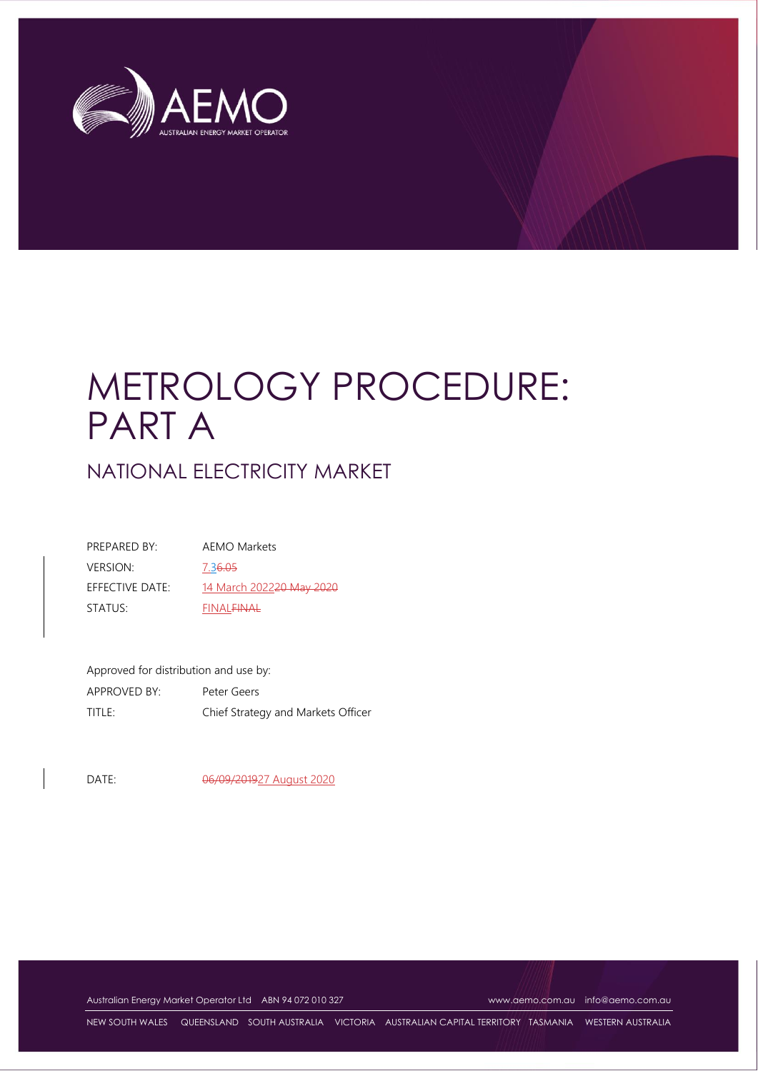

# METROLOGY PROCEDURE: PART A

NATIONAL ELECTRICITY MARKET

| PRFPARFD BY:    | AEMO Markets                         |
|-----------------|--------------------------------------|
| <b>VERSION:</b> | 7.36.05                              |
| EFFECTIVE DATE: | 14 March 2022 <del>20 May 2020</del> |
| STATUS:         | <b>FINAL<del>FINAL</del></b>         |

Approved for distribution and use by: APPROVED BY: Peter Geers TITLE: Chief Strategy and Markets Officer

DATE: 06/09/201927 August 2020

Australian Energy Market Operator Ltd ABN 94 072 010 327 [www.aemo.com.au](http://www.aemo.com.au/) [info@aemo.com.au](mailto:info@aemo.com.au)

NEW SOUTH WALES QUEENSLAND SOUTH AUSTRALIA VICTORIA AUSTRALIAN CAPITAL TERRITORY TASMANIA WESTERN AUSTRALIA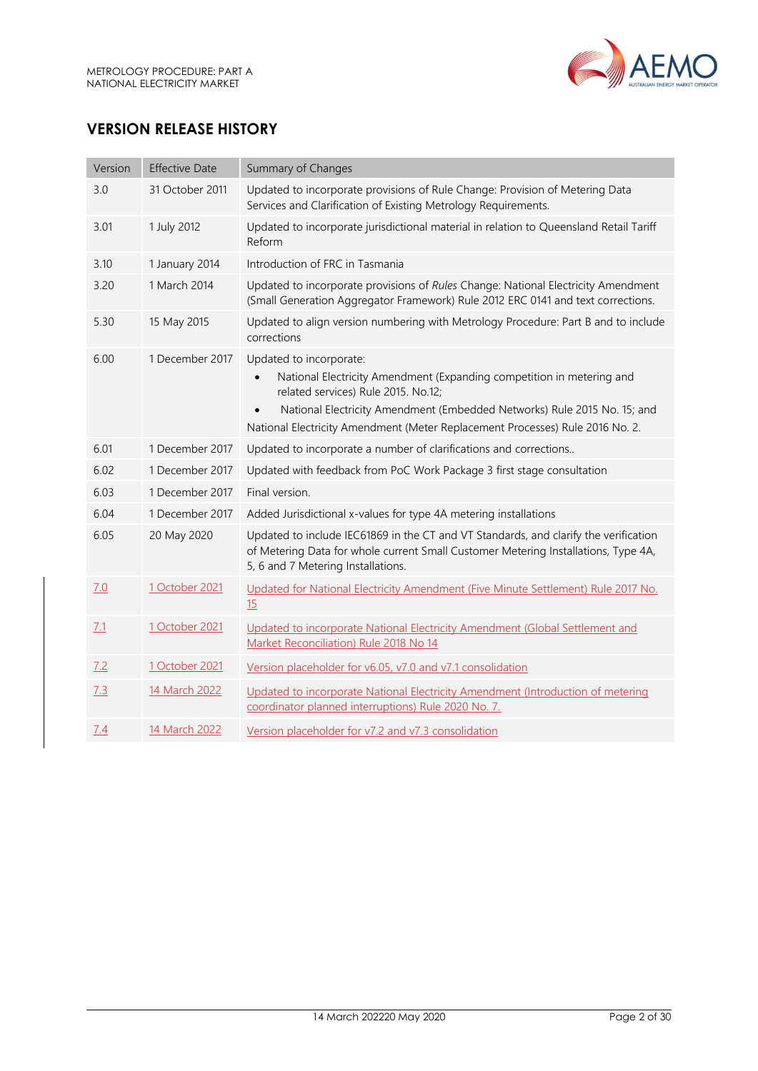

# **VERSION RELEASE HISTORY**

| Version | <b>Effective Date</b> | Summary of Changes                                                                                                                                                                                                                                                                                   |
|---------|-----------------------|------------------------------------------------------------------------------------------------------------------------------------------------------------------------------------------------------------------------------------------------------------------------------------------------------|
| 3.0     | 31 October 2011       | Updated to incorporate provisions of Rule Change: Provision of Metering Data<br>Services and Clarification of Existing Metrology Requirements.                                                                                                                                                       |
| 3.01    | 1 July 2012           | Updated to incorporate jurisdictional material in relation to Queensland Retail Tariff<br>Reform                                                                                                                                                                                                     |
| 3.10    | 1 January 2014        | Introduction of FRC in Tasmania                                                                                                                                                                                                                                                                      |
| 3.20    | 1 March 2014          | Updated to incorporate provisions of Rules Change: National Electricity Amendment<br>(Small Generation Aggregator Framework) Rule 2012 ERC 0141 and text corrections.                                                                                                                                |
| 5.30    | 15 May 2015           | Updated to align version numbering with Metrology Procedure: Part B and to include<br>corrections                                                                                                                                                                                                    |
| 6.00    | 1 December 2017       | Updated to incorporate:<br>National Electricity Amendment (Expanding competition in metering and<br>related services) Rule 2015. No.12;<br>National Electricity Amendment (Embedded Networks) Rule 2015 No. 15; and<br>National Electricity Amendment (Meter Replacement Processes) Rule 2016 No. 2. |
| 6.01    | 1 December 2017       | Updated to incorporate a number of clarifications and corrections                                                                                                                                                                                                                                    |
| 6.02    | 1 December 2017       | Updated with feedback from PoC Work Package 3 first stage consultation                                                                                                                                                                                                                               |
| 6.03    | 1 December 2017       | Final version.                                                                                                                                                                                                                                                                                       |
| 6.04    | 1 December 2017       | Added Jurisdictional x-values for type 4A metering installations                                                                                                                                                                                                                                     |
| 6.05    | 20 May 2020           | Updated to include IEC61869 in the CT and VT Standards, and clarify the verification<br>of Metering Data for whole current Small Customer Metering Installations, Type 4A,<br>5, 6 and 7 Metering Installations.                                                                                     |
| 7.0     | 1 October 2021        | Updated for National Electricity Amendment (Five Minute Settlement) Rule 2017 No.<br>15                                                                                                                                                                                                              |
| 7.1     | 1 October 2021        | Updated to incorporate National Electricity Amendment (Global Settlement and<br>Market Reconciliation) Rule 2018 No 14                                                                                                                                                                               |
| 7.2     | 1 October 2021        | Version placeholder for v6.05, v7.0 and v7.1 consolidation                                                                                                                                                                                                                                           |
| 7.3     | 14 March 2022         | Updated to incorporate National Electricity Amendment (Introduction of metering<br>coordinator planned interruptions) Rule 2020 No. 7.                                                                                                                                                               |
| 7.4     | 14 March 2022         | Version placeholder for v7.2 and v7.3 consolidation                                                                                                                                                                                                                                                  |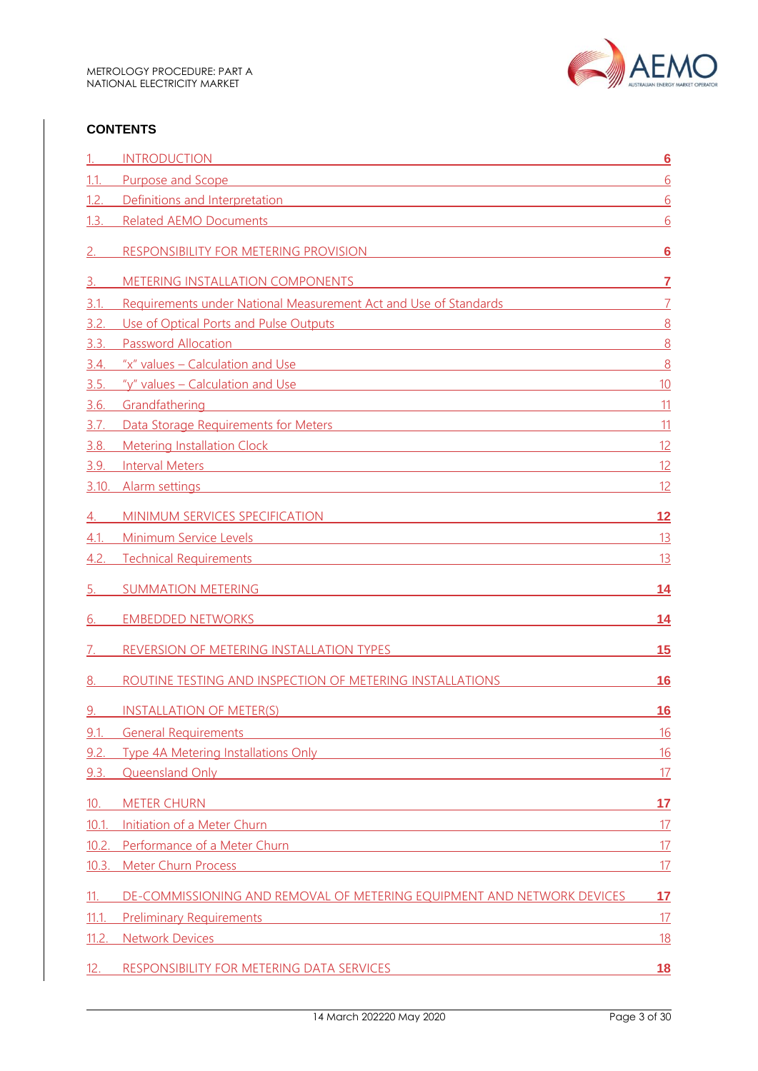

#### **CONTENTS**

|       | <b>INTRODUCTION</b><br><u> 1980 - Jan Samuel Barbara, martin di shekara 1980 - Ang katalog asl na shekara 1980 - Ang katalog asl na shek</u>                                                                                         | $6\overline{6}$ |
|-------|--------------------------------------------------------------------------------------------------------------------------------------------------------------------------------------------------------------------------------------|-----------------|
| 1.1.  | Purpose and Scope<br>and the control of the control of the control of the control of the control of the control of the control of the                                                                                                | 6               |
| 1.2.  | Definitions and Interpretation <b>Example 2018</b> 2019 12:00:00 PM 2019 12:00:00 PM 2019 12:00:00 PM 2019 12:00:00 PM 2019 12:00:00 PM 2019 12:00:00 PM 2019 12:00:00 PM 2019 12:00:00 PM 2019 12:00:00 PM 2019 12:00:00 PM 2019 1  | 6               |
| 1.3.  | <b>Related AEMO Documents</b>                                                                                                                                                                                                        | 6               |
|       | RESPONSIBILITY FOR METERING PROVISION                                                                                                                                                                                                | <u>6</u>        |
| 3.    | <b>METERING INSTALLATION COMPONENTS</b>                                                                                                                                                                                              | 7               |
| 3.1.  | Requirements under National Measurement Act and Use of Standards                                                                                                                                                                     | $\overline{7}$  |
| 3.2.  | Use of Optical Ports and Pulse Outputs <b>Server and Pulse Outputs</b>                                                                                                                                                               | 8               |
| 3.3   | <b>Password Allocation</b><br><u> 1989 - Johann Stein, mars an de Britannich (b. 1989)</u>                                                                                                                                           | 8               |
| 3.4.  | "x" values – Calculation and Use                                                                                                                                                                                                     | 8               |
| 3.5.  | $y''$ values – Calculation and Use                                                                                                                                                                                                   | 10              |
| 3.6.  | Grandfathering<br><u> 1989 - Johann Stoff, amerikansk politiker (d. 1989)</u>                                                                                                                                                        | 11              |
| 3.7.  | Data Storage Requirements for Meters <b>Container and Container and Container and Container</b> and Container and Container                                                                                                          | 11              |
| 3.8.  | Metering Installation Clock and the contract of the contract of the contract of the contract of the contract of the contract of the contract of the contract of the contract of the contract of the contract of the contract o       | 12              |
| 3.9.  | <b>Interval Meters</b><br><u> 1989 - Johann Stoff, deutscher Stoffen und der Stoffen und der Stoffen und der Stoffen und der Stoffen und d</u>                                                                                       | 12              |
| 3.10. | Alarm settings and the contract of the contract of the contract of the contract of the contract of the contract of the contract of the contract of the contract of the contract of the contract of the contract of the contrac       | 12              |
| 4.    | MINIMUM SERVICES SPECIFICATION <b>And Container and Container and Container and Container and Container and Container and Container and Container and Container and Container and Container and Container and Container and Cont</b> | 12              |
| 4.1   | Minimum Service Levels<br><u> 1989 - Jan James Sammer, mars and de la partie de la partie de la partie de la partie de la partie de la par</u>                                                                                       | 13              |
| 4.2.  | <b>Technical Requirements</b><br>and the control of the control of the control of the control of the control of the control of the control of the                                                                                    | 13              |
| 5.    | <b>SUMMATION METERING</b>                                                                                                                                                                                                            | 14              |
| 6.    | <b>EMBEDDED NETWORKS</b>                                                                                                                                                                                                             | 14              |
|       | REVERSION OF METERING INSTALLATION TYPES                                                                                                                                                                                             | 15              |
| 8.    | ROUTINE TESTING AND INSPECTION OF METERING INSTALLATIONS                                                                                                                                                                             | 16              |
| 9.    | <b>INSTALLATION OF METER(S)</b>                                                                                                                                                                                                      | 16              |
| 9.1.  | <b>General Requirements</b><br><u> 1989 - Johann Barn, mars ann an t-Amhain Aonaichte ann an t-Aonaichte ann an t-Aonaichte ann an t-Aonaichte a</u>                                                                                 | <u>16</u>       |
| 9.2   | Type 4A Metering Installations Only <b>Example 2018</b> 2019 12:00:00 12:00:00 12:00:00 12:00:00 12:00:00 12:00:00 12:00:00 12:00:00 12:00:00 12:00:00 12:00:00 12:00:00 12:00:00 12:00:00 12:00:00 12:00:00 12:00:00 12:00:00 12:0  | 16              |
| 9.3.  | Queensland Only <b>Container and Container and Container and Container and Container and Container and Container</b>                                                                                                                 | 17              |
| 10.   | <b>METER CHURN</b><br><u> 1989 - Johann Stein, marwolaethau a bhann an t-Amhain Aonaichte ann an t-Amhain Aonaichte ann an t-Amhain Aon</u>                                                                                          | 17              |
| 10.1  | Initiation of a Meter Churn <b>Community of a Meter Churn</b>                                                                                                                                                                        | 17              |
| 10.2. | Performance of a Meter Churn <b>Example 2018</b> 2019 12:00:00 Performance of a Meter Churn                                                                                                                                          | 17              |
| 10.3. | Meter Churn Process and the contract of the contract of the contract of the contract of the contract of the contract of the contract of the contract of the contract of the contract of the contract of the contract of the co       | 17              |
| 11.   | DE-COMMISSIONING AND REMOVAL OF METERING EQUIPMENT AND NETWORK DEVICES                                                                                                                                                               | 17              |
| 11.1  | <b>Preliminary Requirements</b><br><u> 1989 - Johann Stein, marwolaethau a bhann an t-Amhain Aonaichte ann an t-Amhain Aonaichte ann an t-Amhain Aon</u>                                                                             | 17              |
| 11.2. | <b>Network Devices</b><br><u> 1989 - Johann Barn, amerikansk politiker (d. 1989)</u>                                                                                                                                                 | <u>18</u>       |
| 12.   | RESPONSIBILITY FOR METERING DATA SERVICES                                                                                                                                                                                            | <u> 18</u>      |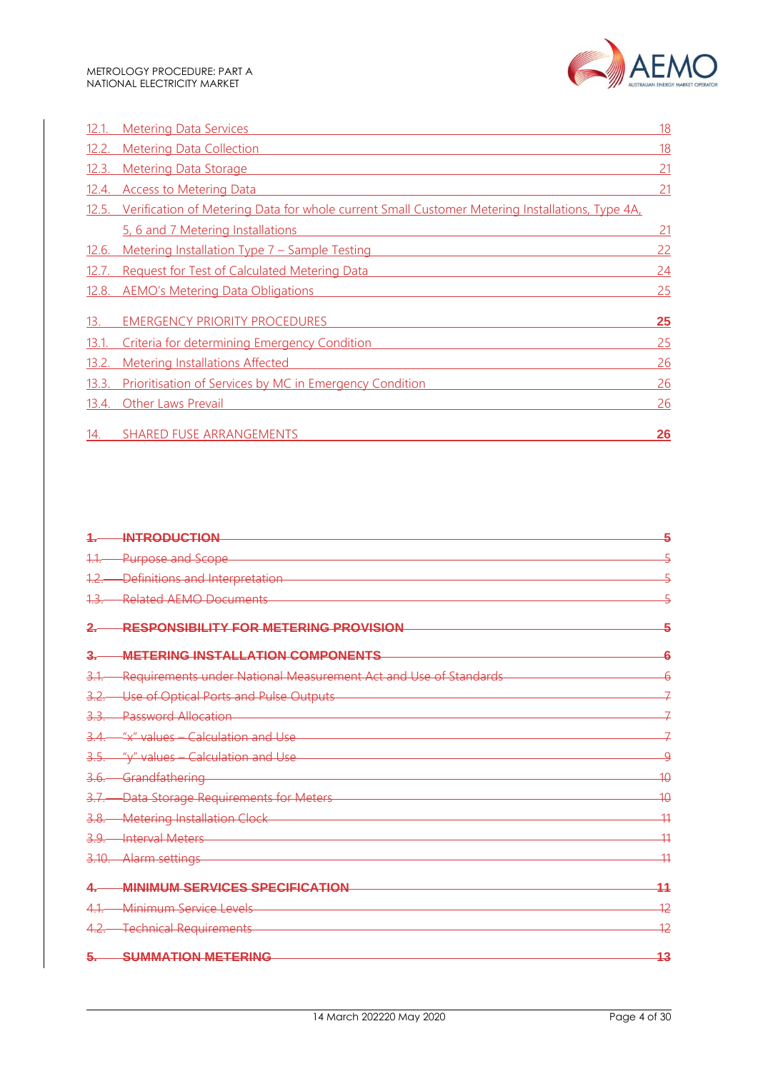

| 12.1.        | <b>Metering Data Services</b>                                                                   | 18              |
|--------------|-------------------------------------------------------------------------------------------------|-----------------|
| 12.2.        | <b>Metering Data Collection</b>                                                                 | <u>18</u>       |
| 12.3.        | <b>Metering Data Storage</b>                                                                    | 21              |
|              | 12.4. Access to Metering Data                                                                   | $\overline{21}$ |
| 12.5.        | Verification of Metering Data for whole current Small Customer Metering Installations, Type 4A, |                 |
|              | 5, 6 and 7 Metering Installations                                                               | <u>21</u>       |
| 12.6.        | Metering Installation Type 7 - Sample Testing                                                   | 22              |
| <u>12.7.</u> | <b>Request for Test of Calculated Metering Data</b>                                             | 24              |
| 12.8.        | <b>AEMO's Metering Data Obligations</b>                                                         | <u>25</u>       |
| 13.          | <b>EMERGENCY PRIORITY PROCEDURES</b>                                                            | <b>25</b>       |
| 13.1.        | Criteria for determining Emergency Condition                                                    | 25              |
| 13.2.        | <b>Metering Installations Affected</b>                                                          | 26              |
| 13.3.        | <b>Prioritisation of Services by MC in Emergency Condition</b>                                  | 26              |
| 13.4.        | <b>Other Laws Prevail</b>                                                                       | 26              |
| 14.          | <b>SHARED FUSE ARRANGEMENTS</b>                                                                 | 26              |

|        | <b>INTRODUCTION</b>                                              | 5               |
|--------|------------------------------------------------------------------|-----------------|
|        | <b>Purpose and Scope</b>                                         |                 |
| 1.2    | Definitions and Interpretation                                   |                 |
| 1.3.   | <b>Related AEMO Documents</b>                                    |                 |
|        | RESPONSIBILITY FOR METERING PROVISION                            |                 |
|        | METERING INSTALLATION COMPONENTS                                 |                 |
| 3.1    | Requirements under National Measurement Act and Use of Standards |                 |
|        | Use of Optical Ports and Pulse Outputs                           |                 |
|        | <b>Password Allocation</b>                                       |                 |
|        | "x" values - Calculation and Use                                 |                 |
|        | "y" values - Calculation and Use                                 | g               |
|        | Grandfathering                                                   | $\overline{40}$ |
| 3.7    | Data Storage Requirements for Meters                             | 40              |
| $-3.8$ | <b>Metering Installation Clock</b>                               | $\overline{11}$ |
|        | <b>Interval Meters</b>                                           | 41              |
|        | Alarm settings                                                   | $\overline{11}$ |
|        | <b>MINIMUM SERVICES SPECIFICATION</b>                            |                 |
|        | Minimum Service Levels                                           | 42              |
|        | <b>Technical Requirements</b>                                    | $\overline{12}$ |
|        | <b>SUMMATION METERING</b>                                        | 43              |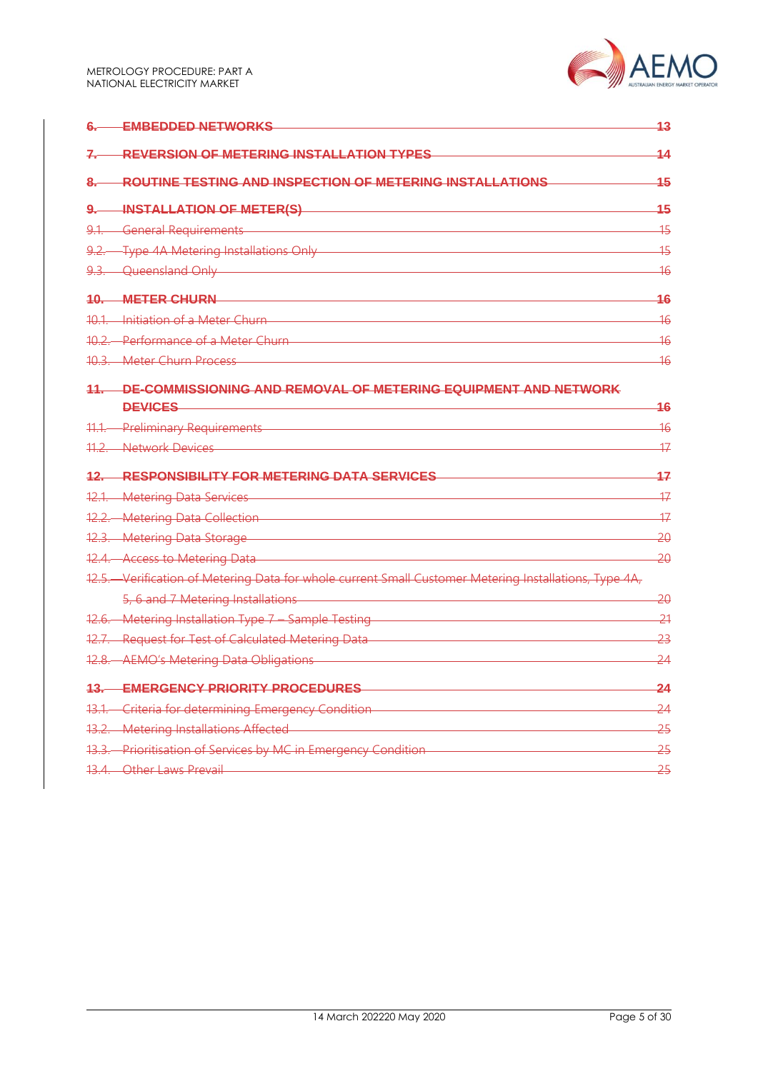|              | <b>EMBEDDED NETWORKS</b>                                                                              | 43              |
|--------------|-------------------------------------------------------------------------------------------------------|-----------------|
|              | <b>REVERSION OF METERING INSTALLATION TYPES</b>                                                       | 14              |
| 8.—          | ROUTINE TESTING AND INSPECTION OF METERING INSTALLATIONS                                              | 45              |
| <u>9. – </u> | <b>INSTALLATION OF METER(S)</b>                                                                       | 45              |
|              | 9.1. General Requirements                                                                             | $\overline{15}$ |
|              | 9.2. Type 4A Metering Installations Only                                                              | $\overline{15}$ |
|              | 9.3. Queensland Only                                                                                  | <del>16</del>   |
|              | <b>10. METER CHURN</b>                                                                                | 16              |
|              | 10.1 Initiation of a Meter Churn                                                                      | 16              |
|              | 10.2. Performance of a Meter Churn                                                                    | $\overline{16}$ |
|              | 10.3. Meter Churn Process                                                                             | 16              |
|              | 11. DE-COMMISSIONING AND REMOVAL OF METERING EQUIPMENT AND NETWORK                                    |                 |
|              | <b>DEVICES</b>                                                                                        | 16              |
|              | 11.1. Preliminary Requirements                                                                        | 16              |
|              | 11.2. Network Devices                                                                                 | 47              |
|              | 12. RESPONSIBILITY FOR METERING DATA SERVICES                                                         | 17              |
|              | 12.1. Metering Data Services                                                                          | 17              |
|              | 12.2. Metering Data Collection                                                                        | 17              |
|              | 12.3. Metering Data Storage<br><u> 1989 - Johann Barn, mars eta biztanleria (</u>                     | <del>20</del>   |
|              | 12.4. Access to Metering Data                                                                         | 20              |
|              | 12.5. Verification of Metering Data for whole current Small Customer Metering Installations, Type 4A, |                 |
|              | 5, 6 and 7 Metering Installations                                                                     | 20              |
|              | 12.6. Metering Installation Type 7 - Sample Testing                                                   | $-21$           |
|              | 12.7. Request for Test of Calculated Metering Data                                                    | <del>23</del>   |
|              | 12.8. AEMO's Metering Data Obligations                                                                | 24              |
|              | <b>13. EMERGENCY PRIORITY PROCEDURES</b>                                                              | $\overline{24}$ |
|              | 13.1. Criteria for determining Emergency Condition                                                    | 24              |
|              | 13.2. Metering Installations Affected                                                                 | 25              |
|              | 13.3. Prioritisation of Services by MC in Emergency Condition                                         | 25              |
|              | 13.4. Other Laws Prevail                                                                              | 25              |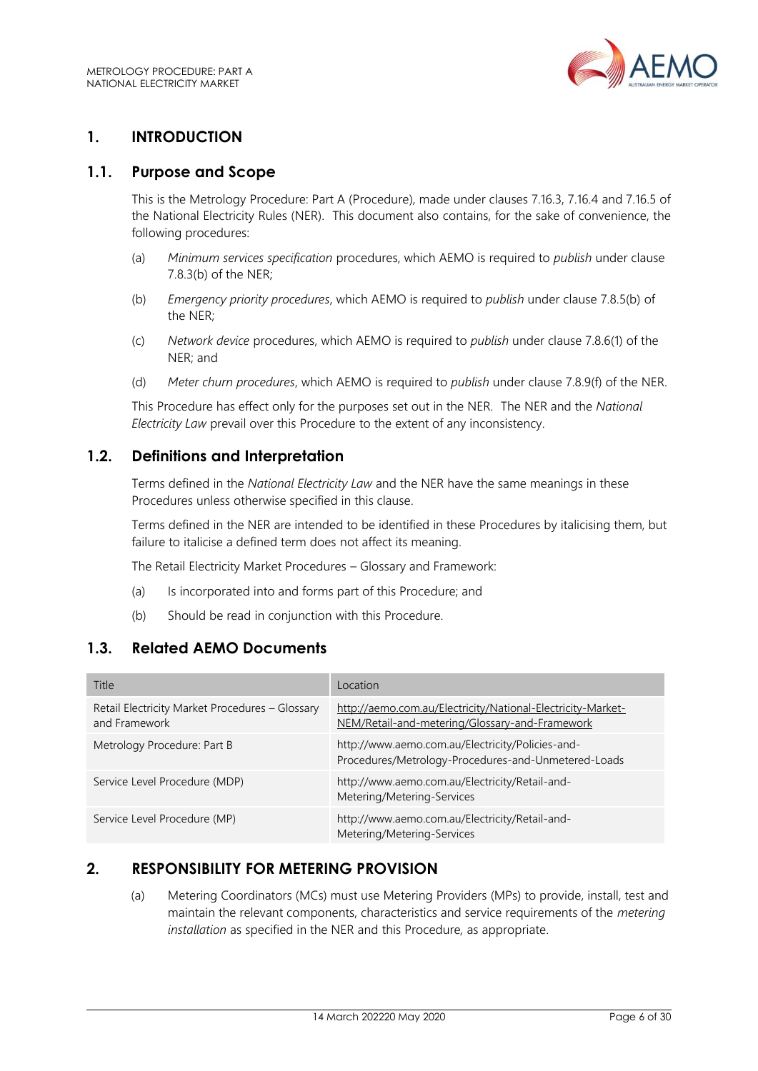

# <span id="page-5-0"></span>**1. INTRODUCTION**

#### <span id="page-5-1"></span>**1.1. Purpose and Scope**

This is the Metrology Procedure: Part A (Procedure), made under clauses 7.16.3, 7.16.4 and 7.16.5 of the National Electricity Rules (NER). This document also contains, for the sake of convenience, the following procedures:

- (a) *Minimum services specification* procedures, which AEMO is required to *publish* under clause 7.8.3(b) of the NER;
- (b) *Emergency priority procedures*, which AEMO is required to *publish* under clause 7.8.5(b) of the NER;
- (c) *Network device* procedures, which AEMO is required to *publish* under clause 7.8.6(1) of the NER; and
- (d) *Meter churn procedures*, which AEMO is required to *publish* under clause 7.8.9(f) of the NER.

This Procedure has effect only for the purposes set out in the NER. The NER and the *National Electricity Law* prevail over this Procedure to the extent of any inconsistency.

## <span id="page-5-2"></span>**1.2. Definitions and Interpretation**

Terms defined in the *National Electricity Law* and the NER have the same meanings in these Procedures unless otherwise specified in this clause.

Terms defined in the NER are intended to be identified in these Procedures by italicising them, but failure to italicise a defined term does not affect its meaning.

The Retail Electricity Market Procedures – Glossary and Framework:

- (a) Is incorporated into and forms part of this Procedure; and
- (b) Should be read in conjunction with this Procedure.

## <span id="page-5-3"></span>**1.3. Related AEMO Documents**

| Title                                                            | Location                                                                                                      |
|------------------------------------------------------------------|---------------------------------------------------------------------------------------------------------------|
| Retail Electricity Market Procedures - Glossary<br>and Framework | http://aemo.com.au/Electricity/National-Electricity-Market-<br>NEM/Retail-and-metering/Glossary-and-Framework |
| Metrology Procedure: Part B                                      | http://www.aemo.com.au/Electricity/Policies-and-<br>Procedures/Metrology-Procedures-and-Unmetered-Loads       |
| Service Level Procedure (MDP)                                    | http://www.aemo.com.au/Electricity/Retail-and-<br>Metering/Metering-Services                                  |
| Service Level Procedure (MP)                                     | http://www.aemo.com.au/Electricity/Retail-and-<br>Metering/Metering-Services                                  |

## <span id="page-5-4"></span>**2. RESPONSIBILITY FOR METERING PROVISION**

(a) Metering Coordinators (MCs) must use Metering Providers (MPs) to provide, install, test and maintain the relevant components, characteristics and service requirements of the *metering installation* as specified in the NER and this Procedure*,* as appropriate.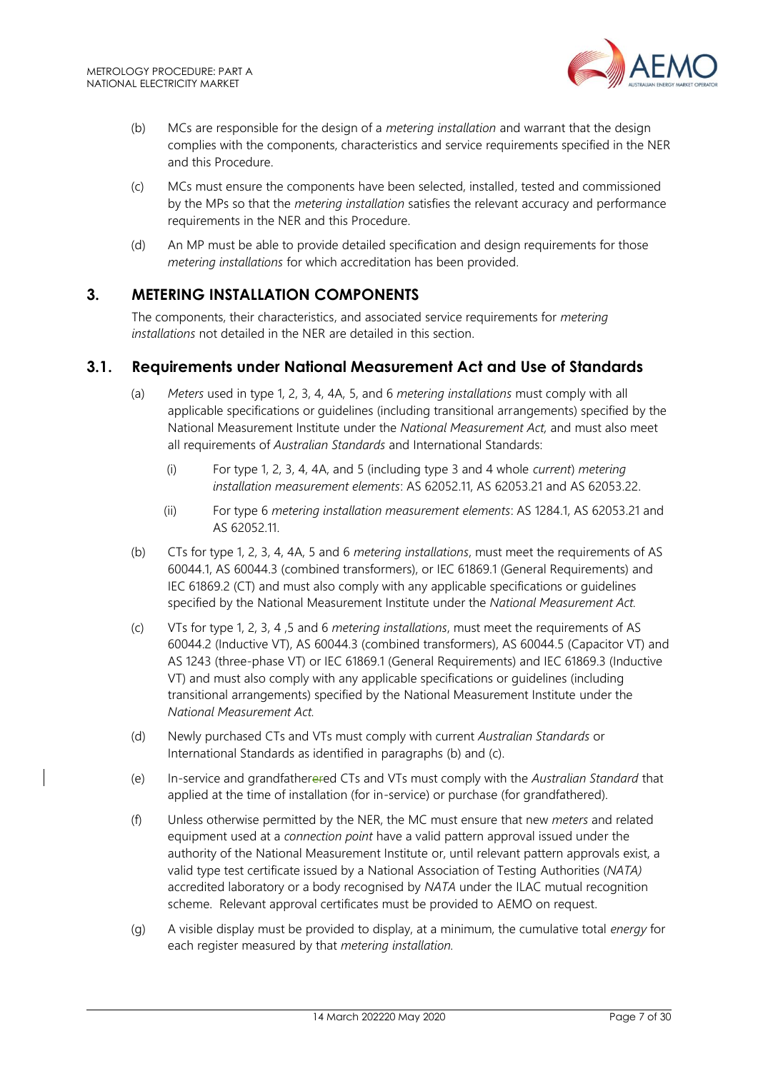

- (b) MCs are responsible for the design of a *metering installation* and warrant that the design complies with the components, characteristics and service requirements specified in the NER and this Procedure.
- (c) MCs must ensure the components have been selected, installed, tested and commissioned by the MPs so that the *metering installation* satisfies the relevant accuracy and performance requirements in the NER and this Procedure.
- (d) An MP must be able to provide detailed specification and design requirements for those *metering installations* for which accreditation has been provided.

## <span id="page-6-0"></span>**3. METERING INSTALLATION COMPONENTS**

The components, their characteristics, and associated service requirements for *metering installations* not detailed in the NER are detailed in this section.

## <span id="page-6-1"></span>**3.1. Requirements under National Measurement Act and Use of Standards**

- (a) *Meters* used in type 1, 2, 3, 4, 4A, 5, and 6 *metering installations* must comply with all applicable specifications or guidelines (including transitional arrangements) specified by the National Measurement Institute under the *National Measurement Act,* and must also meet all requirements of *Australian Standards* and International Standards:
	- (i) For type 1, 2, 3, 4, 4A, and 5 (including type 3 and 4 whole *current*) *metering installation measurement elements*: AS 62052.11, AS 62053.21 and AS 62053.22.
	- (ii) For type 6 *metering installation measurement elements*: AS 1284.1, AS 62053.21 and AS 62052.11.
- (b) CTs for type 1, 2, 3, 4, 4A, 5 and 6 *metering installations*, must meet the requirements of AS 60044.1, AS 60044.3 (combined transformers), or IEC 61869.1 (General Requirements) and IEC 61869.2 (CT) and must also comply with any applicable specifications or guidelines specified by the National Measurement Institute under the *National Measurement Act.*
- (c) VTs for type 1, 2, 3, 4 ,5 and 6 *metering installations*, must meet the requirements of AS 60044.2 (Inductive VT), AS 60044.3 (combined transformers), AS 60044.5 (Capacitor VT) and AS 1243 (three-phase VT) or IEC 61869.1 (General Requirements) and IEC 61869.3 (Inductive VT) and must also comply with any applicable specifications or guidelines (including transitional arrangements) specified by the National Measurement Institute under the *National Measurement Act.*
- (d) Newly purchased CTs and VTs must comply with current *Australian Standards* or International Standards as identified in paragraphs (b) and (c).
- (e) In-service and grandfatherered CTs and VTs must comply with the *Australian Standard* that applied at the time of installation (for in-service) or purchase (for grandfathered).
- (f) Unless otherwise permitted by the NER, the MC must ensure that new *meters* and related equipment used at a *connection point* have a valid pattern approval issued under the authority of the National Measurement Institute or, until relevant pattern approvals exist, a valid type test certificate issued by a National Association of Testing Authorities (*NATA)* accredited laboratory or a body recognised by *NATA* under the ILAC mutual recognition scheme. Relevant approval certificates must be provided to AEMO on request.
- (g) A visible display must be provided to display, at a minimum, the cumulative total *energy* for each register measured by that *metering installation.*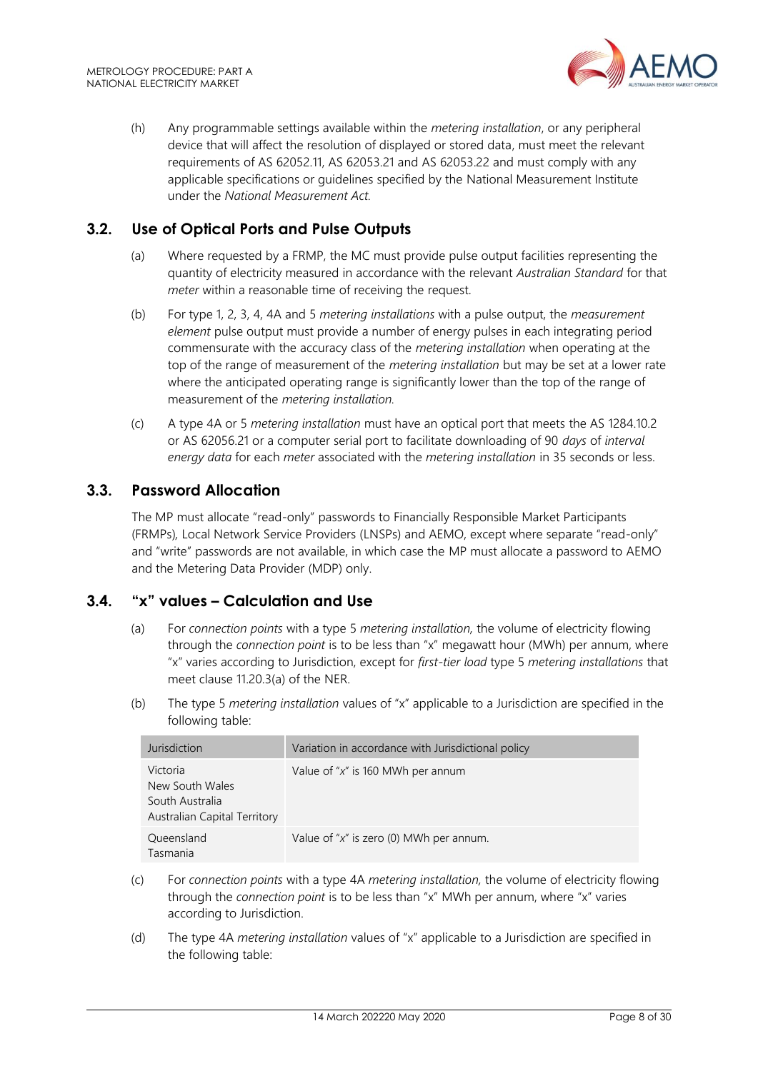

(h) Any programmable settings available within the *metering installation*, or any peripheral device that will affect the resolution of displayed or stored data, must meet the relevant requirements of AS 62052.11, AS 62053.21 and AS 62053.22 and must comply with any applicable specifications or guidelines specified by the National Measurement Institute under the *National Measurement Act.*

# <span id="page-7-0"></span>**3.2. Use of Optical Ports and Pulse Outputs**

- (a) Where requested by a FRMP, the MC must provide pulse output facilities representing the quantity of electricity measured in accordance with the relevant *Australian Standard* for that *meter* within a reasonable time of receiving the request.
- (b) For type 1, 2, 3, 4, 4A and 5 *metering installations* with a pulse output, the *measurement element* pulse output must provide a number of energy pulses in each integrating period commensurate with the accuracy class of the *metering installation* when operating at the top of the range of measurement of the *metering installation* but may be set at a lower rate where the anticipated operating range is significantly lower than the top of the range of measurement of the *metering installation.*
- (c) A type 4A or 5 *metering installation* must have an optical port that meets the AS 1284.10.2 or AS 62056.21 or a computer serial port to facilitate downloading of 90 *days* of *interval energy data* for each *meter* associated with the *metering installation* in 35 seconds or less.

## <span id="page-7-1"></span>**3.3. Password Allocation**

The MP must allocate "read-only" passwords to Financially Responsible Market Participants (FRMPs)*,* Local Network Service Providers (LNSPs) and AEMO, except where separate "read-only" and "write" passwords are not available, in which case the MP must allocate a password to AEMO and the Metering Data Provider (MDP) only.

# <span id="page-7-2"></span>**3.4. "x" values – Calculation and Use**

- (a) For *connection points* with a type 5 *metering installation,* the volume of electricity flowing through the *connection point* is to be less than "x" megawatt hour (MWh) per annum, where "x" varies according to Jurisdiction, except for *first-tier load* type 5 *metering installations* that meet clause 11.20.3(a) of the NER.
- (b) The type 5 *metering installation* values of "x" applicable to a Jurisdiction are specified in the following table:

| Jurisdiction                                                                   | Variation in accordance with Jurisdictional policy |
|--------------------------------------------------------------------------------|----------------------------------------------------|
| Victoria<br>New South Wales<br>South Australia<br>Australian Capital Territory | Value of " $x$ " is 160 MWh per annum              |
| Queensland<br>Tasmania                                                         | Value of " $x$ " is zero (0) MWh per annum.        |

- (c) For *connection points* with a type 4A *metering installation,* the volume of electricity flowing through the *connection point* is to be less than "x" MWh per annum, where "x" varies according to Jurisdiction.
- (d) The type 4A *metering installation* values of "x" applicable to a Jurisdiction are specified in the following table: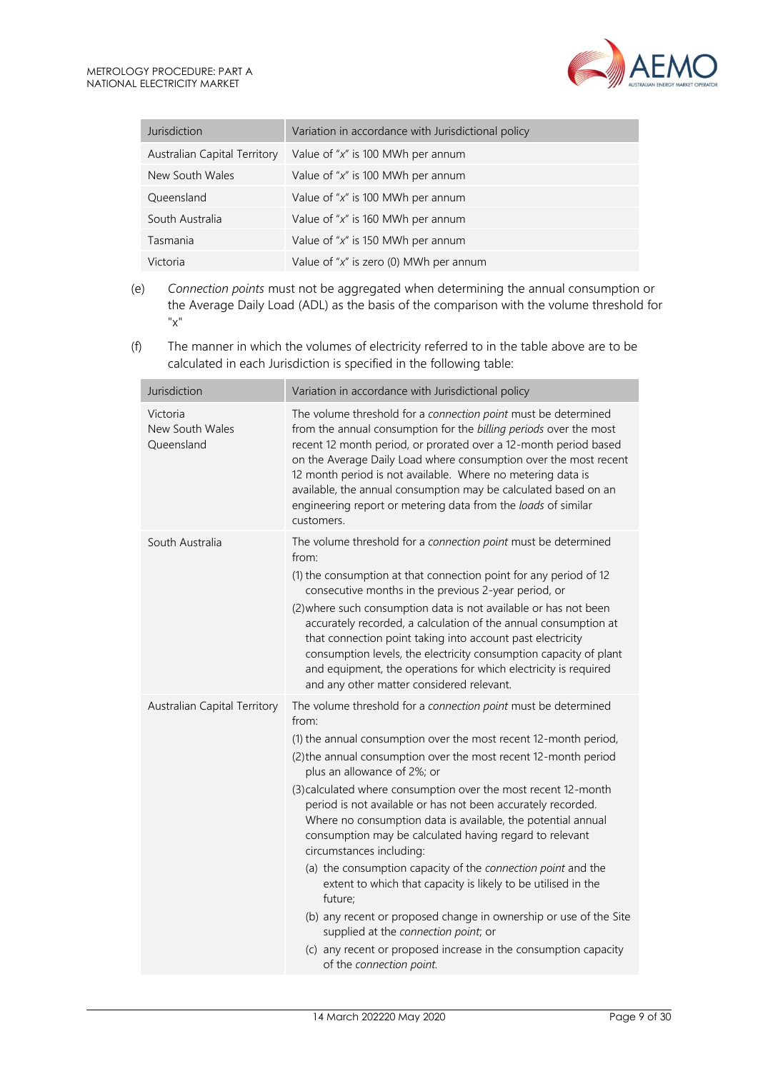| Jurisdiction                 | Variation in accordance with Jurisdictional policy |
|------------------------------|----------------------------------------------------|
| Australian Capital Territory | Value of " $x$ " is 100 MWh per annum              |
| New South Wales              | Value of " $x$ " is 100 MWh per annum              |
| Queensland                   | Value of " $x$ " is 100 MWh per annum              |
| South Australia              | Value of " $x$ " is 160 MWh per annum              |
| Tasmania                     | Value of " $x$ " is 150 MWh per annum              |
| Victoria                     | Value of " $x$ " is zero (0) MWh per annum         |

- (e) *Connection points* must not be aggregated when determining the annual consumption or the Average Daily Load (ADL) as the basis of the comparison with the volume threshold for "x"
- (f) The manner in which the volumes of electricity referred to in the table above are to be calculated in each Jurisdiction is specified in the following table:

| Jurisdiction                              | Variation in accordance with Jurisdictional policy                                                                                                                                                                                                                                                                                                                                                                                                                                                                                                                                                                                                                                                                                                                                                                                                                                             |
|-------------------------------------------|------------------------------------------------------------------------------------------------------------------------------------------------------------------------------------------------------------------------------------------------------------------------------------------------------------------------------------------------------------------------------------------------------------------------------------------------------------------------------------------------------------------------------------------------------------------------------------------------------------------------------------------------------------------------------------------------------------------------------------------------------------------------------------------------------------------------------------------------------------------------------------------------|
| Victoria<br>New South Wales<br>Queensland | The volume threshold for a connection point must be determined<br>from the annual consumption for the billing periods over the most<br>recent 12 month period, or prorated over a 12-month period based<br>on the Average Daily Load where consumption over the most recent<br>12 month period is not available. Where no metering data is<br>available, the annual consumption may be calculated based on an<br>engineering report or metering data from the loads of similar<br>customers.                                                                                                                                                                                                                                                                                                                                                                                                   |
| South Australia                           | The volume threshold for a connection point must be determined<br>from:<br>(1) the consumption at that connection point for any period of 12<br>consecutive months in the previous 2-year period, or<br>(2) where such consumption data is not available or has not been<br>accurately recorded, a calculation of the annual consumption at<br>that connection point taking into account past electricity<br>consumption levels, the electricity consumption capacity of plant<br>and equipment, the operations for which electricity is required<br>and any other matter considered relevant.                                                                                                                                                                                                                                                                                                 |
| Australian Capital Territory              | The volume threshold for a connection point must be determined<br>from:<br>(1) the annual consumption over the most recent 12-month period,<br>(2) the annual consumption over the most recent 12-month period<br>plus an allowance of 2%; or<br>(3) calculated where consumption over the most recent 12-month<br>period is not available or has not been accurately recorded.<br>Where no consumption data is available, the potential annual<br>consumption may be calculated having regard to relevant<br>circumstances including:<br>(a) the consumption capacity of the connection point and the<br>extent to which that capacity is likely to be utilised in the<br>future;<br>(b) any recent or proposed change in ownership or use of the Site<br>supplied at the connection point; or<br>(c) any recent or proposed increase in the consumption capacity<br>of the connection point. |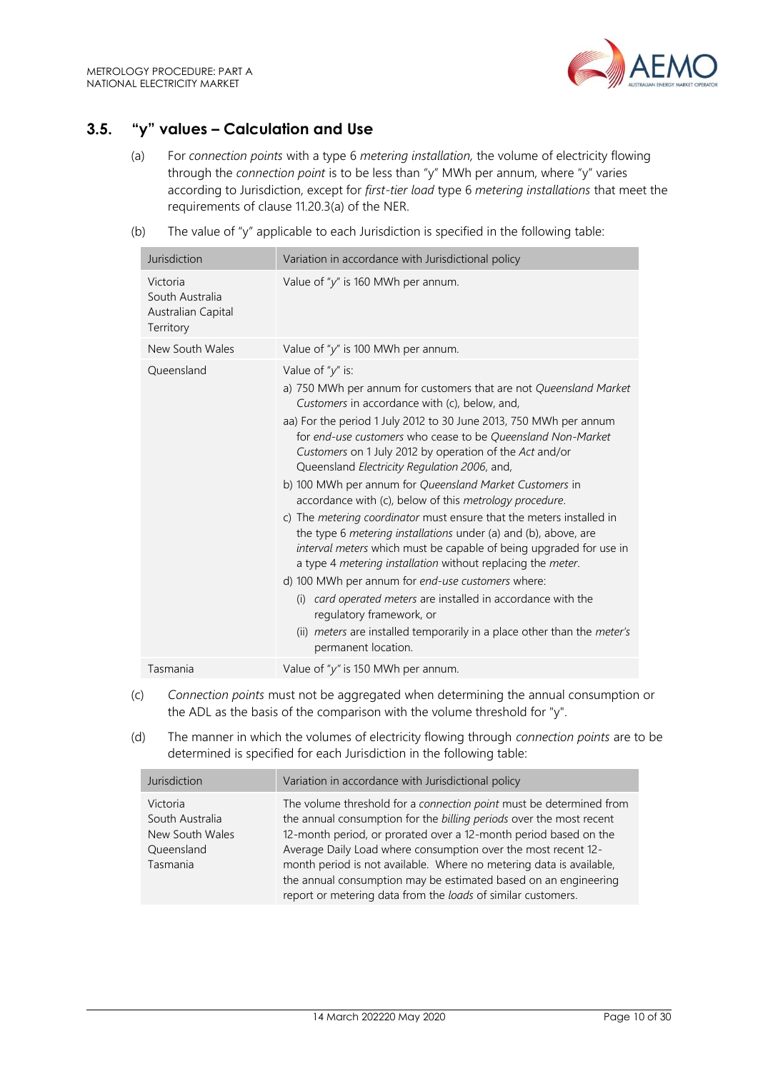

# <span id="page-9-0"></span>**3.5. "y" values – Calculation and Use**

- (a) For *connection points* with a type 6 *metering installation,* the volume of electricity flowing through the *connection point* is to be less than "y" MWh per annum, where "y" varies according to Jurisdiction, except for *first-tier load* type 6 *metering installations* that meet the requirements of clause 11.20.3(a) of the NER.
- (b) The value of "y" applicable to each Jurisdiction is specified in the following table:

| Jurisdiction                                                   | Variation in accordance with Jurisdictional policy                                                                                                                                                                                                                                                                                                                                                                                                                                                                                                                                                                                                                                                                                                                                                                                                                                                                                                                                                                                                            |
|----------------------------------------------------------------|---------------------------------------------------------------------------------------------------------------------------------------------------------------------------------------------------------------------------------------------------------------------------------------------------------------------------------------------------------------------------------------------------------------------------------------------------------------------------------------------------------------------------------------------------------------------------------------------------------------------------------------------------------------------------------------------------------------------------------------------------------------------------------------------------------------------------------------------------------------------------------------------------------------------------------------------------------------------------------------------------------------------------------------------------------------|
| Victoria<br>South Australia<br>Australian Capital<br>Territory | Value of " $y$ " is 160 MWh per annum.                                                                                                                                                                                                                                                                                                                                                                                                                                                                                                                                                                                                                                                                                                                                                                                                                                                                                                                                                                                                                        |
| New South Wales                                                | Value of " $y$ " is 100 MWh per annum.                                                                                                                                                                                                                                                                                                                                                                                                                                                                                                                                                                                                                                                                                                                                                                                                                                                                                                                                                                                                                        |
| Queensland                                                     | Value of " $y$ " is:<br>a) 750 MWh per annum for customers that are not Queensland Market<br>Customers in accordance with (c), below, and,<br>aa) For the period 1 July 2012 to 30 June 2013, 750 MWh per annum<br>for end-use customers who cease to be Queensland Non-Market<br>Customers on 1 July 2012 by operation of the Act and/or<br>Queensland Electricity Regulation 2006, and,<br>b) 100 MWh per annum for Queensland Market Customers in<br>accordance with (c), below of this metrology procedure.<br>c) The <i>metering coordinator</i> must ensure that the meters installed in<br>the type 6 metering installations under (a) and (b), above, are<br>interval meters which must be capable of being upgraded for use in<br>a type 4 metering installation without replacing the meter.<br>d) 100 MWh per annum for end-use customers where:<br>card operated meters are installed in accordance with the<br>(i)<br>regulatory framework, or<br>(ii) meters are installed temporarily in a place other than the meter's<br>permanent location. |
| Tasmania                                                       | Value of " $y$ " is 150 MWh per annum.                                                                                                                                                                                                                                                                                                                                                                                                                                                                                                                                                                                                                                                                                                                                                                                                                                                                                                                                                                                                                        |

- (c) *Connection points* must not be aggregated when determining the annual consumption or the ADL as the basis of the comparison with the volume threshold for "y".
- (d) The manner in which the volumes of electricity flowing through *connection points* are to be determined is specified for each Jurisdiction in the following table:

| Jurisdiction                                                             | Variation in accordance with Jurisdictional policy                                                                                                                                                                                                                                                                                                                                                                                                                                        |
|--------------------------------------------------------------------------|-------------------------------------------------------------------------------------------------------------------------------------------------------------------------------------------------------------------------------------------------------------------------------------------------------------------------------------------------------------------------------------------------------------------------------------------------------------------------------------------|
| Victoria<br>South Australia<br>New South Wales<br>Queensland<br>Tasmania | The volume threshold for a connection point must be determined from<br>the annual consumption for the billing periods over the most recent<br>12-month period, or prorated over a 12-month period based on the<br>Average Daily Load where consumption over the most recent 12-<br>month period is not available. Where no metering data is available,<br>the annual consumption may be estimated based on an engineering<br>report or metering data from the loads of similar customers. |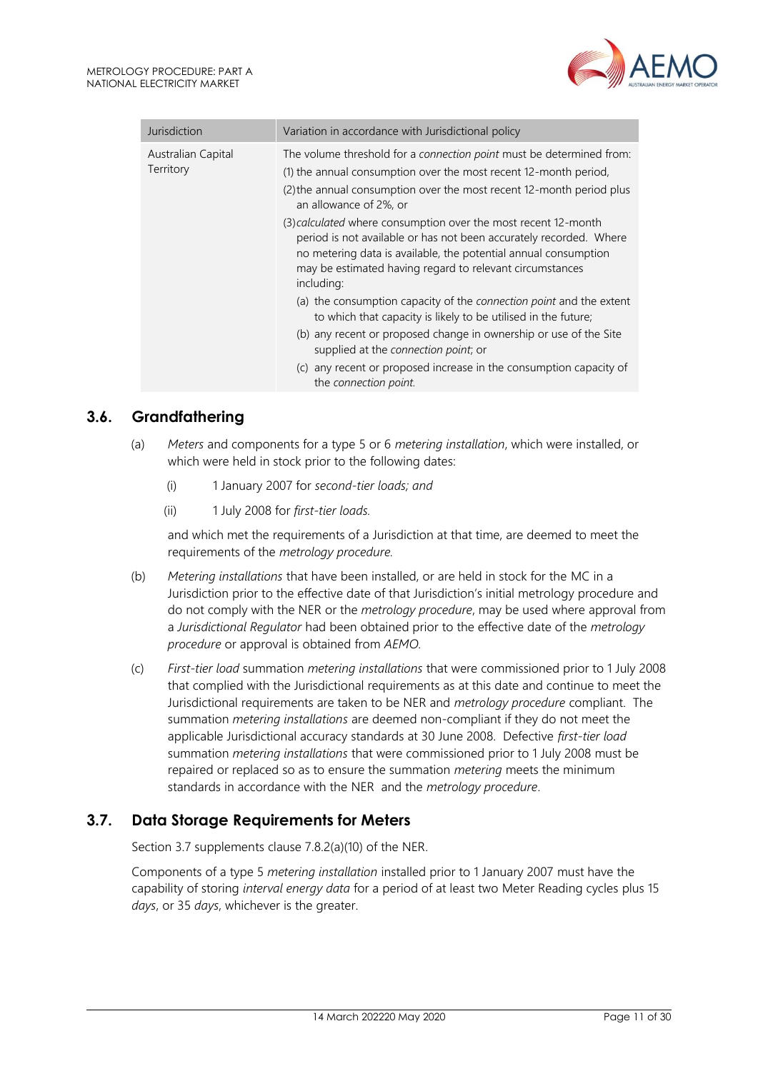

| Jurisdiction                    | Variation in accordance with Jurisdictional policy                                                                                                                                                                                                                                |
|---------------------------------|-----------------------------------------------------------------------------------------------------------------------------------------------------------------------------------------------------------------------------------------------------------------------------------|
| Australian Capital<br>Territory | The volume threshold for a connection point must be determined from:<br>(1) the annual consumption over the most recent 12-month period,<br>(2) the annual consumption over the most recent 12-month period plus<br>an allowance of 2%, or                                        |
|                                 | (3) calculated where consumption over the most recent 12-month<br>period is not available or has not been accurately recorded. Where<br>no metering data is available, the potential annual consumption<br>may be estimated having regard to relevant circumstances<br>including: |
|                                 | (a) the consumption capacity of the connection point and the extent<br>to which that capacity is likely to be utilised in the future;                                                                                                                                             |
|                                 | (b) any recent or proposed change in ownership or use of the Site<br>supplied at the connection point; or                                                                                                                                                                         |
|                                 | (c) any recent or proposed increase in the consumption capacity of<br>the connection point.                                                                                                                                                                                       |

## <span id="page-10-0"></span>**3.6. Grandfathering**

- (a) *Meters* and components for a type 5 or 6 *metering installation*, which were installed, or which were held in stock prior to the following dates:
	- (i) 1 January 2007 for *second-tier loads; and*
	- (ii) 1 July 2008 for *first-tier loads.*

and which met the requirements of a Jurisdiction at that time, are deemed to meet the requirements of the *metrology procedure.*

- (b) *Metering installations* that have been installed, or are held in stock for the MC in a Jurisdiction prior to the effective date of that Jurisdiction's initial metrology procedure and do not comply with the NER or the *metrology procedure*, may be used where approval from a *Jurisdictional Regulator* had been obtained prior to the effective date of the *metrology procedure* or approval is obtained from *AEMO.*
- (c) *First-tier load* summation *metering installations* that were commissioned prior to 1 July 2008 that complied with the Jurisdictional requirements as at this date and continue to meet the Jurisdictional requirements are taken to be NER and *metrology procedure* compliant. The summation *metering installations* are deemed non-compliant if they do not meet the applicable Jurisdictional accuracy standards at 30 June 2008. Defective *first-tier load* summation *metering installations* that were commissioned prior to 1 July 2008 must be repaired or replaced so as to ensure the summation *metering* meets the minimum standards in accordance with the NER and the *metrology procedure*.

## <span id="page-10-1"></span>**3.7. Data Storage Requirements for Meters**

Section 3.7 supplements clause 7.8.2(a)(10) of the NER.

Components of a type 5 *metering installation* installed prior to 1 January 2007 must have the capability of storing *interval energy data* for a period of at least two Meter Reading cycles plus 15 *days*, or 35 *days*, whichever is the greater.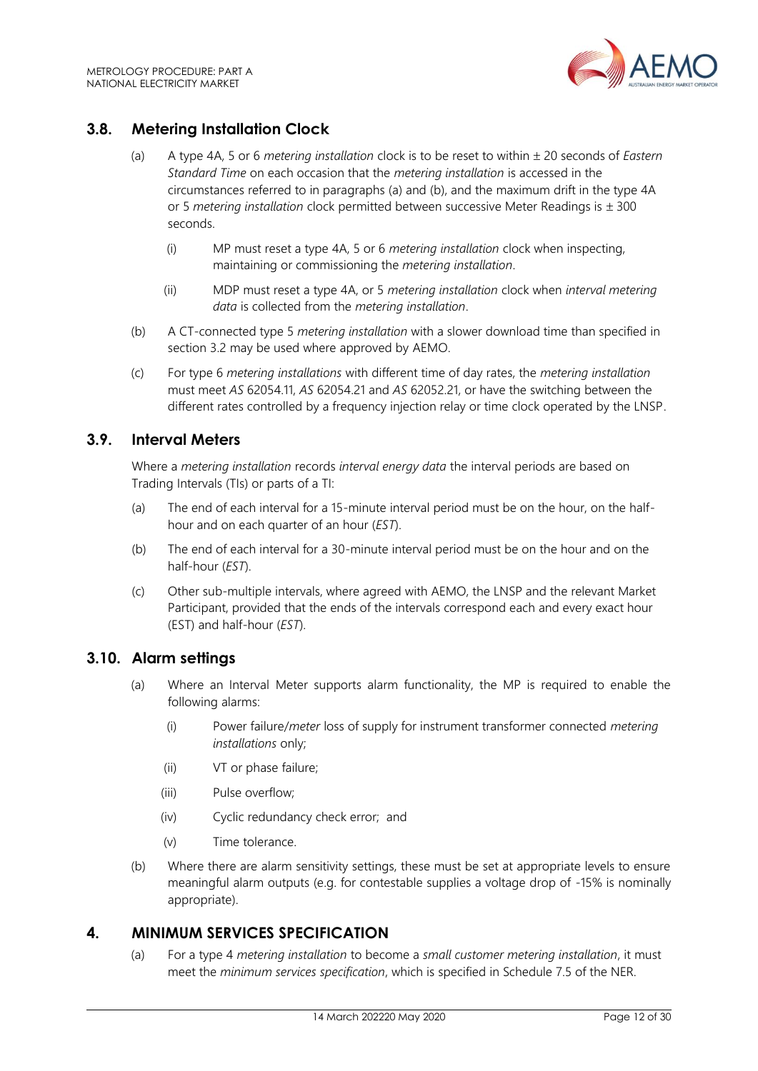

## <span id="page-11-0"></span>**3.8. Metering Installation Clock**

- (a) A type 4A, 5 or 6 *metering installation* clock is to be reset to within 20 seconds of *Eastern Standard Time* on each occasion that the *metering installation* is accessed in the circumstances referred to in paragraphs (a) and (b), and the maximum drift in the type 4A or 5 *metering installation* clock permitted between successive Meter Readings is  $\pm$  300 seconds.
	- (i) MP must reset a type 4A, 5 or 6 *metering installation* clock when inspecting, maintaining or commissioning the *metering installation*.
	- (ii) MDP must reset a type 4A, or 5 *metering installation* clock when *interval metering data* is collected from the *metering installation*.
- (b) A CT-connected type 5 *metering installation* with a slower download time than specified in section 3.2 may be used where approved by AEMO.
- (c) For type 6 *metering installations* with different time of day rates, the *metering installation* must meet *AS* 62054.11, *AS* 62054.21 and *AS* 62052.21, or have the switching between the different rates controlled by a frequency injection relay or time clock operated by the LNSP.

## <span id="page-11-1"></span>**3.9. Interval Meters**

Where a *metering installation* records *interval energy data* the interval periods are based on Trading Intervals (TIs) or parts of a TI:

- (a) The end of each interval for a 15-minute interval period must be on the hour, on the halfhour and on each quarter of an hour (*EST*).
- (b) The end of each interval for a 30-minute interval period must be on the hour and on the half-hour (*EST*).
- (c) Other sub-multiple intervals, where agreed with AEMO, the LNSP and the relevant Market Participant, provided that the ends of the intervals correspond each and every exact hour (EST) and half-hour (*EST*).

## <span id="page-11-2"></span>**3.10. Alarm settings**

- (a) Where an Interval Meter supports alarm functionality, the MP is required to enable the following alarms:
	- (i) Power failure/*meter* loss of supply for instrument transformer connected *metering installations* only;
	- (ii) VT or phase failure;
	- (iii) Pulse overflow;
	- (iv) Cyclic redundancy check error; and
	- (v) Time tolerance.
- (b) Where there are alarm sensitivity settings, these must be set at appropriate levels to ensure meaningful alarm outputs (e.g. for contestable supplies a voltage drop of -15% is nominally appropriate).

## <span id="page-11-3"></span>**4. MINIMUM SERVICES SPECIFICATION**

(a) For a type 4 *metering installation* to become a *small customer metering installation*, it must meet the *minimum services specification*, which is specified in Schedule 7.5 of the NER.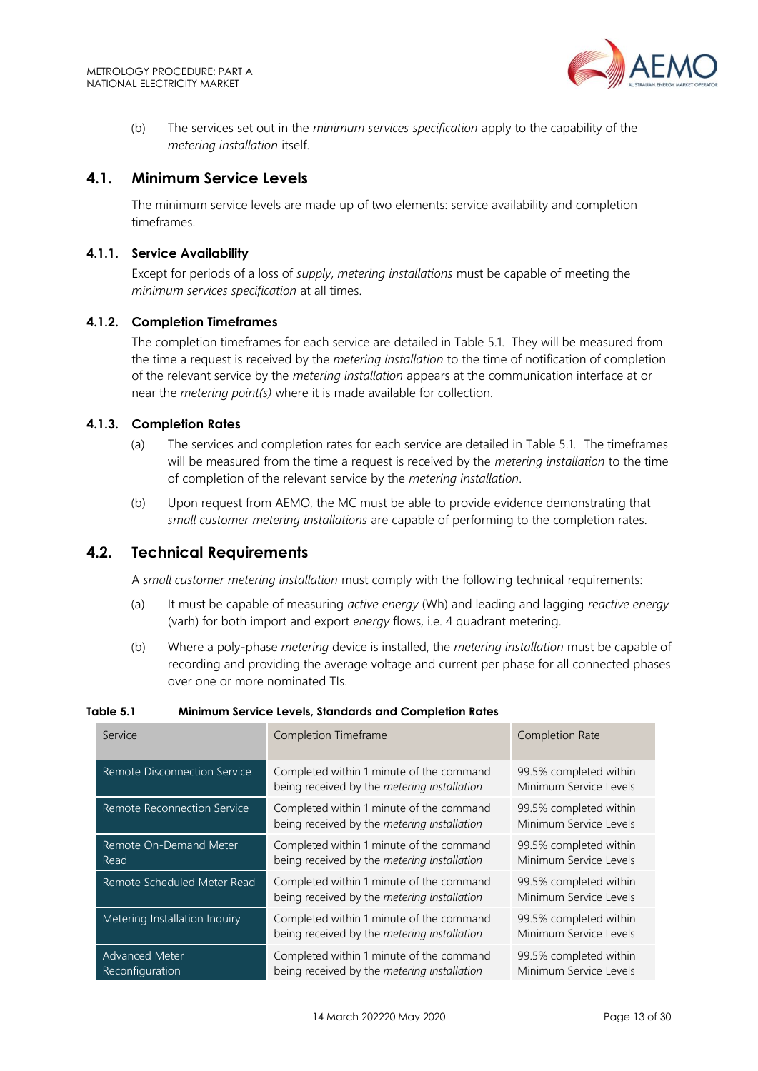

(b) The services set out in the *minimum services specification* apply to the capability of the *metering installation* itself.

## <span id="page-12-0"></span>**4.1. Minimum Service Levels**

The minimum service levels are made up of two elements: service availability and completion timeframes.

#### **4.1.1. Service Availability**

Except for periods of a loss of *supply*, *metering installations* must be capable of meeting the *minimum services specification* at all times.

#### **4.1.2. Completion Timeframes**

The completion timeframes for each service are detailed in Table 5.1. They will be measured from the time a request is received by the *metering installation* to the time of notification of completion of the relevant service by the *metering installation* appears at the communication interface at or near the *metering point(s)* where it is made available for collection.

#### **4.1.3. Completion Rates**

- (a) The services and completion rates for each service are detailed in Table 5.1. The timeframes will be measured from the time a request is received by the *metering installation* to the time of completion of the relevant service by the *metering installation*.
- (b) Upon request from AEMO, the MC must be able to provide evidence demonstrating that *small customer metering installations* are capable of performing to the completion rates.

#### <span id="page-12-1"></span>**4.2. Technical Requirements**

A *small customer metering installation* must comply with the following technical requirements:

- (a) It must be capable of measuring *active energy* (Wh) and leading and lagging *reactive energy* (varh) for both import and export *energy* flows, i.e. 4 quadrant metering.
- (b) Where a poly-phase *metering* device is installed, the *metering installation* must be capable of recording and providing the average voltage and current per phase for all connected phases over one or more nominated TIs.

| Service                                  | Completion Timeframe                                                                    | Completion Rate                                  |
|------------------------------------------|-----------------------------------------------------------------------------------------|--------------------------------------------------|
| Remote Disconnection Service             | Completed within 1 minute of the command<br>being received by the metering installation | 99.5% completed within<br>Minimum Service Levels |
| Remote Reconnection Service              | Completed within 1 minute of the command<br>being received by the metering installation | 99.5% completed within<br>Minimum Service Levels |
| Remote On-Demand Meter<br>Read           | Completed within 1 minute of the command<br>being received by the metering installation | 99.5% completed within<br>Minimum Service Levels |
| Remote Scheduled Meter Read              | Completed within 1 minute of the command<br>being received by the metering installation | 99.5% completed within<br>Minimum Service Levels |
| Metering Installation Inquiry            | Completed within 1 minute of the command<br>being received by the metering installation | 99.5% completed within<br>Minimum Service Levels |
| <b>Advanced Meter</b><br>Reconfiguration | Completed within 1 minute of the command<br>being received by the metering installation | 99.5% completed within<br>Minimum Service Levels |

#### **Table 5.1 Minimum Service Levels, Standards and Completion Rates**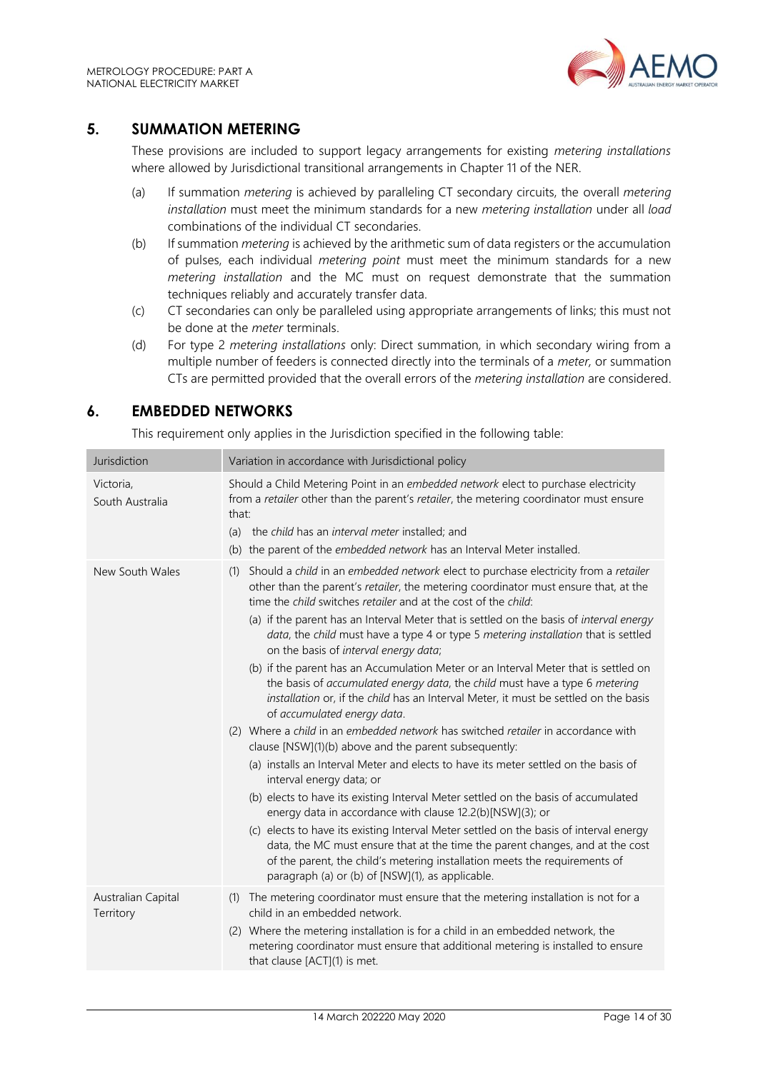

## <span id="page-13-0"></span>**5. SUMMATION METERING**

These provisions are included to support legacy arrangements for existing *metering installations* where allowed by Jurisdictional transitional arrangements in Chapter 11 of the NER.

- (a) If summation *metering* is achieved by paralleling CT secondary circuits, the overall *metering installation* must meet the minimum standards for a new *metering installation* under all *load* combinations of the individual CT secondaries.
- (b) If summation *metering* is achieved by the arithmetic sum of data registers or the accumulation of pulses, each individual *metering point* must meet the minimum standards for a new *metering installation* and the MC must on request demonstrate that the summation techniques reliably and accurately transfer data.
- (c) CT secondaries can only be paralleled using appropriate arrangements of links; this must not be done at the *meter* terminals.
- (d) For type 2 *metering installations* only: Direct summation, in which secondary wiring from a multiple number of feeders is connected directly into the terminals of a *meter,* or summation CTs are permitted provided that the overall errors of the *metering installation* are considered.

## <span id="page-13-1"></span>**6. EMBEDDED NETWORKS**

This requirement only applies in the Jurisdiction specified in the following table:

| Jurisdiction                    | Variation in accordance with Jurisdictional policy                                                                                                                                                                                                                                                                                                                                                                                                                                                                                                                                                                                                                                                                                                                                                                                                                                                                                                                                                                                                                                                                                                                                                                                                                                                                                                                                                                                                                                                          |
|---------------------------------|-------------------------------------------------------------------------------------------------------------------------------------------------------------------------------------------------------------------------------------------------------------------------------------------------------------------------------------------------------------------------------------------------------------------------------------------------------------------------------------------------------------------------------------------------------------------------------------------------------------------------------------------------------------------------------------------------------------------------------------------------------------------------------------------------------------------------------------------------------------------------------------------------------------------------------------------------------------------------------------------------------------------------------------------------------------------------------------------------------------------------------------------------------------------------------------------------------------------------------------------------------------------------------------------------------------------------------------------------------------------------------------------------------------------------------------------------------------------------------------------------------------|
| Victoria,<br>South Australia    | Should a Child Metering Point in an embedded network elect to purchase electricity<br>from a retailer other than the parent's retailer, the metering coordinator must ensure<br>that:<br>(a) the child has an interval meter installed; and<br>(b) the parent of the embedded network has an Interval Meter installed.                                                                                                                                                                                                                                                                                                                                                                                                                                                                                                                                                                                                                                                                                                                                                                                                                                                                                                                                                                                                                                                                                                                                                                                      |
| New South Wales                 | Should a child in an embedded network elect to purchase electricity from a retailer<br>(1)<br>other than the parent's retailer, the metering coordinator must ensure that, at the<br>time the child switches retailer and at the cost of the child:<br>(a) if the parent has an Interval Meter that is settled on the basis of interval energy<br>data, the child must have a type 4 or type 5 metering installation that is settled<br>on the basis of interval energy data;<br>(b) if the parent has an Accumulation Meter or an Interval Meter that is settled on<br>the basis of accumulated energy data, the child must have a type 6 metering<br>installation or, if the child has an Interval Meter, it must be settled on the basis<br>of accumulated energy data.<br>(2) Where a child in an embedded network has switched retailer in accordance with<br>clause [NSW](1)(b) above and the parent subsequently:<br>(a) installs an Interval Meter and elects to have its meter settled on the basis of<br>interval energy data; or<br>(b) elects to have its existing Interval Meter settled on the basis of accumulated<br>energy data in accordance with clause 12.2(b)[NSW](3); or<br>(c) elects to have its existing Interval Meter settled on the basis of interval energy<br>data, the MC must ensure that at the time the parent changes, and at the cost<br>of the parent, the child's metering installation meets the requirements of<br>paragraph (a) or (b) of [NSW](1), as applicable. |
| Australian Capital<br>Territory | (1) The metering coordinator must ensure that the metering installation is not for a<br>child in an embedded network.<br>(2) Where the metering installation is for a child in an embedded network, the<br>metering coordinator must ensure that additional metering is installed to ensure<br>that clause [ACT](1) is met.                                                                                                                                                                                                                                                                                                                                                                                                                                                                                                                                                                                                                                                                                                                                                                                                                                                                                                                                                                                                                                                                                                                                                                                 |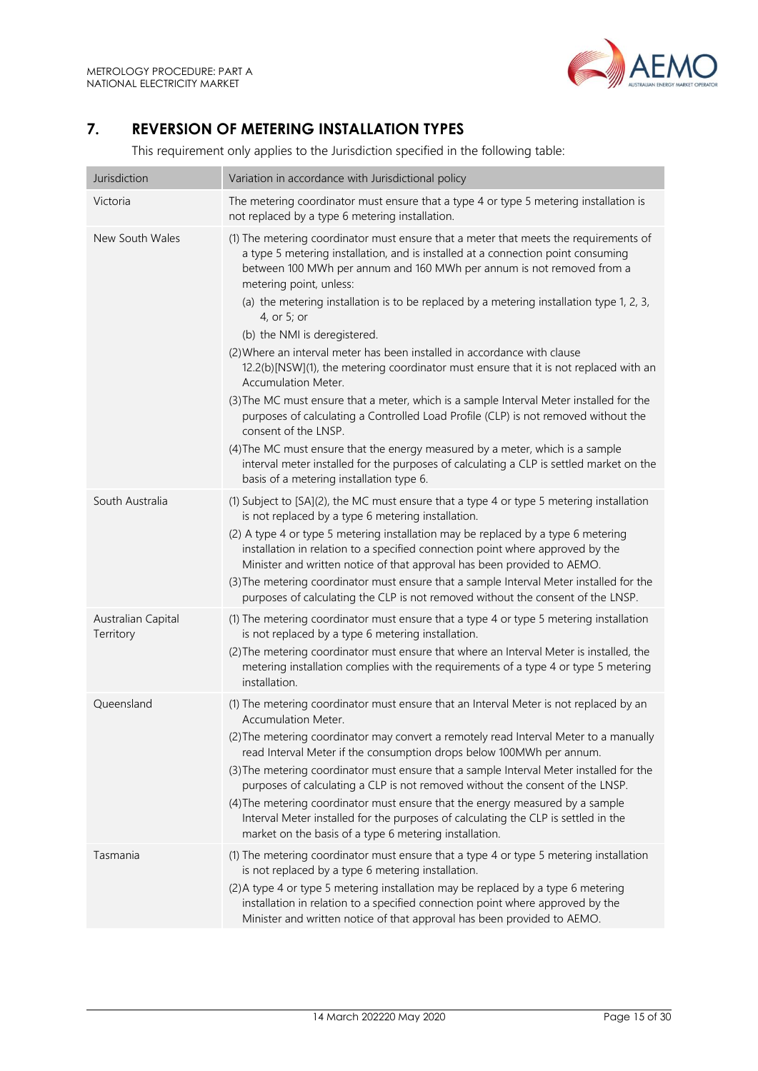

# <span id="page-14-0"></span>**7. REVERSION OF METERING INSTALLATION TYPES**

This requirement only applies to the Jurisdiction specified in the following table:

| Jurisdiction                    | Variation in accordance with Jurisdictional policy                                                                                                                                                                                                                                                                                                                                                                                                                                                                                                                                                                                                                                                                                                                                                                                                                                                                                                                                                                                                          |
|---------------------------------|-------------------------------------------------------------------------------------------------------------------------------------------------------------------------------------------------------------------------------------------------------------------------------------------------------------------------------------------------------------------------------------------------------------------------------------------------------------------------------------------------------------------------------------------------------------------------------------------------------------------------------------------------------------------------------------------------------------------------------------------------------------------------------------------------------------------------------------------------------------------------------------------------------------------------------------------------------------------------------------------------------------------------------------------------------------|
| Victoria                        | The metering coordinator must ensure that a type 4 or type 5 metering installation is<br>not replaced by a type 6 metering installation.                                                                                                                                                                                                                                                                                                                                                                                                                                                                                                                                                                                                                                                                                                                                                                                                                                                                                                                    |
| New South Wales                 | (1) The metering coordinator must ensure that a meter that meets the requirements of<br>a type 5 metering installation, and is installed at a connection point consuming<br>between 100 MWh per annum and 160 MWh per annum is not removed from a<br>metering point, unless:<br>(a) the metering installation is to be replaced by a metering installation type 1, 2, 3,<br>4, or 5; or<br>(b) the NMI is deregistered.<br>(2) Where an interval meter has been installed in accordance with clause<br>12.2(b)[NSW](1), the metering coordinator must ensure that it is not replaced with an<br><b>Accumulation Meter.</b><br>(3) The MC must ensure that a meter, which is a sample Interval Meter installed for the<br>purposes of calculating a Controlled Load Profile (CLP) is not removed without the<br>consent of the LNSP.<br>(4) The MC must ensure that the energy measured by a meter, which is a sample<br>interval meter installed for the purposes of calculating a CLP is settled market on the<br>basis of a metering installation type 6. |
| South Australia                 | (1) Subject to [SA](2), the MC must ensure that a type 4 or type 5 metering installation<br>is not replaced by a type 6 metering installation.<br>(2) A type 4 or type 5 metering installation may be replaced by a type 6 metering<br>installation in relation to a specified connection point where approved by the<br>Minister and written notice of that approval has been provided to AEMO.<br>(3) The metering coordinator must ensure that a sample Interval Meter installed for the<br>purposes of calculating the CLP is not removed without the consent of the LNSP.                                                                                                                                                                                                                                                                                                                                                                                                                                                                              |
| Australian Capital<br>Territory | (1) The metering coordinator must ensure that a type 4 or type 5 metering installation<br>is not replaced by a type 6 metering installation.<br>(2) The metering coordinator must ensure that where an Interval Meter is installed, the<br>metering installation complies with the requirements of a type 4 or type 5 metering<br>installation.                                                                                                                                                                                                                                                                                                                                                                                                                                                                                                                                                                                                                                                                                                             |
| Queensland                      | (1) The metering coordinator must ensure that an Interval Meter is not replaced by an<br>Accumulation Meter.<br>(2) The metering coordinator may convert a remotely read Interval Meter to a manually<br>read Interval Meter if the consumption drops below 100MWh per annum.<br>(3) The metering coordinator must ensure that a sample Interval Meter installed for the<br>purposes of calculating a CLP is not removed without the consent of the LNSP.<br>(4) The metering coordinator must ensure that the energy measured by a sample<br>Interval Meter installed for the purposes of calculating the CLP is settled in the<br>market on the basis of a type 6 metering installation.                                                                                                                                                                                                                                                                                                                                                                  |
| Tasmania                        | (1) The metering coordinator must ensure that a type 4 or type 5 metering installation<br>is not replaced by a type 6 metering installation.<br>(2) A type 4 or type 5 metering installation may be replaced by a type 6 metering<br>installation in relation to a specified connection point where approved by the<br>Minister and written notice of that approval has been provided to AEMO.                                                                                                                                                                                                                                                                                                                                                                                                                                                                                                                                                                                                                                                              |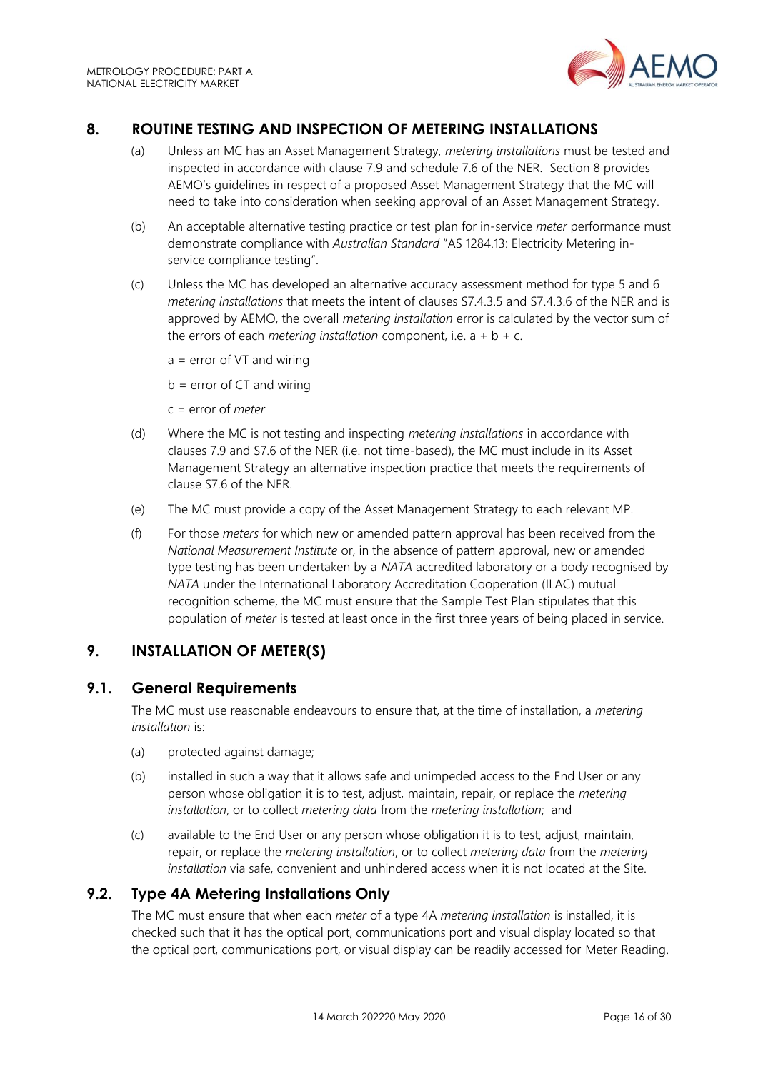

# <span id="page-15-0"></span>**8. ROUTINE TESTING AND INSPECTION OF METERING INSTALLATIONS**

- (a) Unless an MC has an Asset Management Strategy, *metering installations* must be tested and inspected in accordance with clause 7.9 and schedule 7.6 of the NER. Section 8 provides AEMO's guidelines in respect of a proposed Asset Management Strategy that the MC will need to take into consideration when seeking approval of an Asset Management Strategy.
- (b) An acceptable alternative testing practice or test plan for in-service *meter* performance must demonstrate compliance with *Australian Standard* "AS 1284.13: Electricity Metering inservice compliance testing".
- (c) Unless the MC has developed an alternative accuracy assessment method for type 5 and 6 *metering installations* that meets the intent of clauses S7.4.3.5 and S7.4.3.6 of the NER and is approved by AEMO, the overall *metering installation* error is calculated by the vector sum of the errors of each *metering installation* component, i.e.  $a + b + c$ .
	- $a = error of VT and wiring$

 $b = error of CT and wiring$ 

- c = error of *meter*
- (d) Where the MC is not testing and inspecting *metering installations* in accordance with clauses 7.9 and S7.6 of the NER (i.e. not time-based), the MC must include in its Asset Management Strategy an alternative inspection practice that meets the requirements of clause S7.6 of the NER.
- (e) The MC must provide a copy of the Asset Management Strategy to each relevant MP.
- (f) For those *meters* for which new or amended pattern approval has been received from the *National Measurement Institute* or, in the absence of pattern approval, new or amended type testing has been undertaken by a *NATA* accredited laboratory or a body recognised by *NATA* under the International Laboratory Accreditation Cooperation (ILAC) mutual recognition scheme, the MC must ensure that the Sample Test Plan stipulates that this population of *meter* is tested at least once in the first three years of being placed in service.

# <span id="page-15-1"></span>**9. INSTALLATION OF METER(S)**

## <span id="page-15-2"></span>**9.1. General Requirements**

The MC must use reasonable endeavours to ensure that, at the time of installation, a *metering installation* is:

- (a) protected against damage;
- (b) installed in such a way that it allows safe and unimpeded access to the End User or any person whose obligation it is to test, adjust, maintain, repair, or replace the *metering installation*, or to collect *metering data* from the *metering installation*; and
- (c) available to the End User or any person whose obligation it is to test, adjust, maintain, repair, or replace the *metering installation*, or to collect *metering data* from the *metering installation* via safe, convenient and unhindered access when it is not located at the Site.

## <span id="page-15-3"></span>**9.2. Type 4A Metering Installations Only**

The MC must ensure that when each *meter* of a type 4A *metering installation* is installed, it is checked such that it has the optical port, communications port and visual display located so that the optical port, communications port, or visual display can be readily accessed for Meter Reading.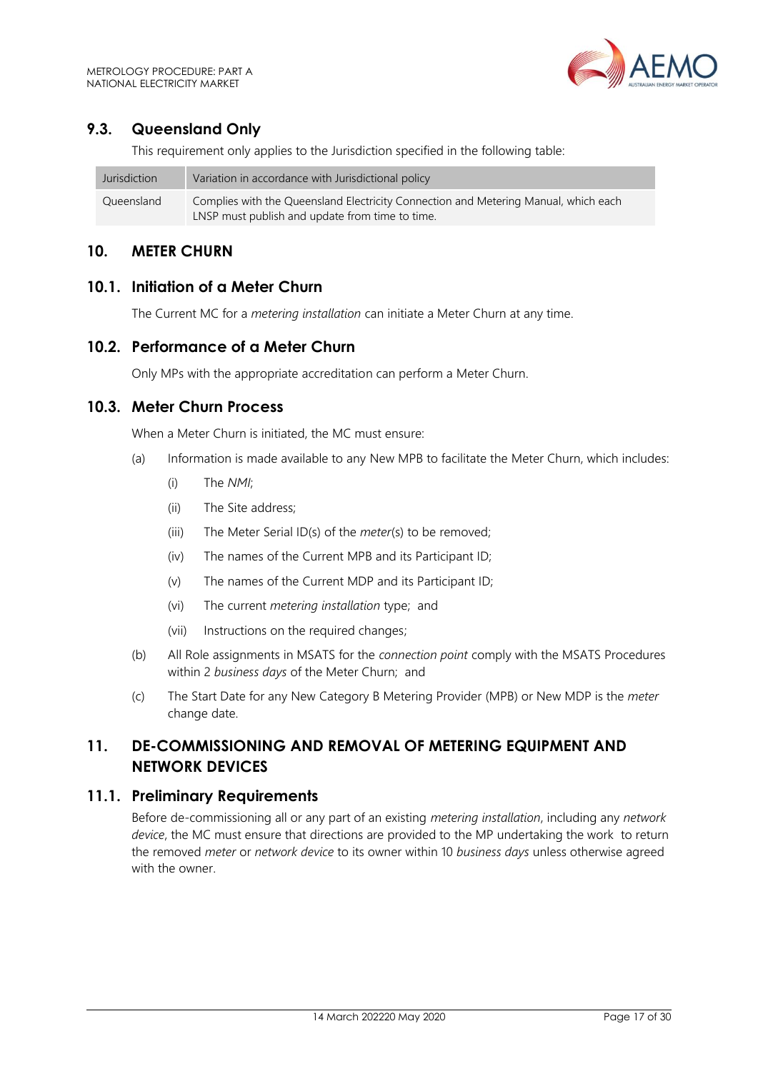## <span id="page-16-0"></span>**9.3. Queensland Only**

This requirement only applies to the Jurisdiction specified in the following table:

| Jurisdiction | Variation in accordance with Jurisdictional policy                                  |
|--------------|-------------------------------------------------------------------------------------|
| Queensland   | Complies with the Queensland Electricity Connection and Metering Manual, which each |
|              | LNSP must publish and update from time to time.                                     |

## <span id="page-16-1"></span>**10. METER CHURN**

#### <span id="page-16-2"></span>**10.1. Initiation of a Meter Churn**

The Current MC for a *metering installation* can initiate a Meter Churn at any time.

## <span id="page-16-3"></span>**10.2. Performance of a Meter Churn**

Only MPs with the appropriate accreditation can perform a Meter Churn.

#### <span id="page-16-4"></span>**10.3. Meter Churn Process**

When a Meter Churn is initiated, the MC must ensure:

- (a) Information is made available to any New MPB to facilitate the Meter Churn, which includes:
	- (i) The *NMI*;
	- (ii) The Site address;
	- (iii) The Meter Serial ID(s) of the *meter*(s) to be removed;
	- (iv) The names of the Current MPB and its Participant ID;
	- (v) The names of the Current MDP and its Participant ID;
	- (vi) The current *metering installation* type; and
	- (vii) Instructions on the required changes;
- (b) All Role assignments in MSATS for the *connection point* comply with the MSATS Procedures within 2 *business days* of the Meter Churn; and
- (c) The Start Date for any New Category B Metering Provider (MPB) or New MDP is the *meter* change date.

# <span id="page-16-5"></span>**11. DE-COMMISSIONING AND REMOVAL OF METERING EQUIPMENT AND NETWORK DEVICES**

#### <span id="page-16-6"></span>**11.1. Preliminary Requirements**

Before de-commissioning all or any part of an existing *metering installation*, including any *network device*, the MC must ensure that directions are provided to the MP undertaking the work to return the removed *meter* or *network device* to its owner within 10 *business days* unless otherwise agreed with the owner.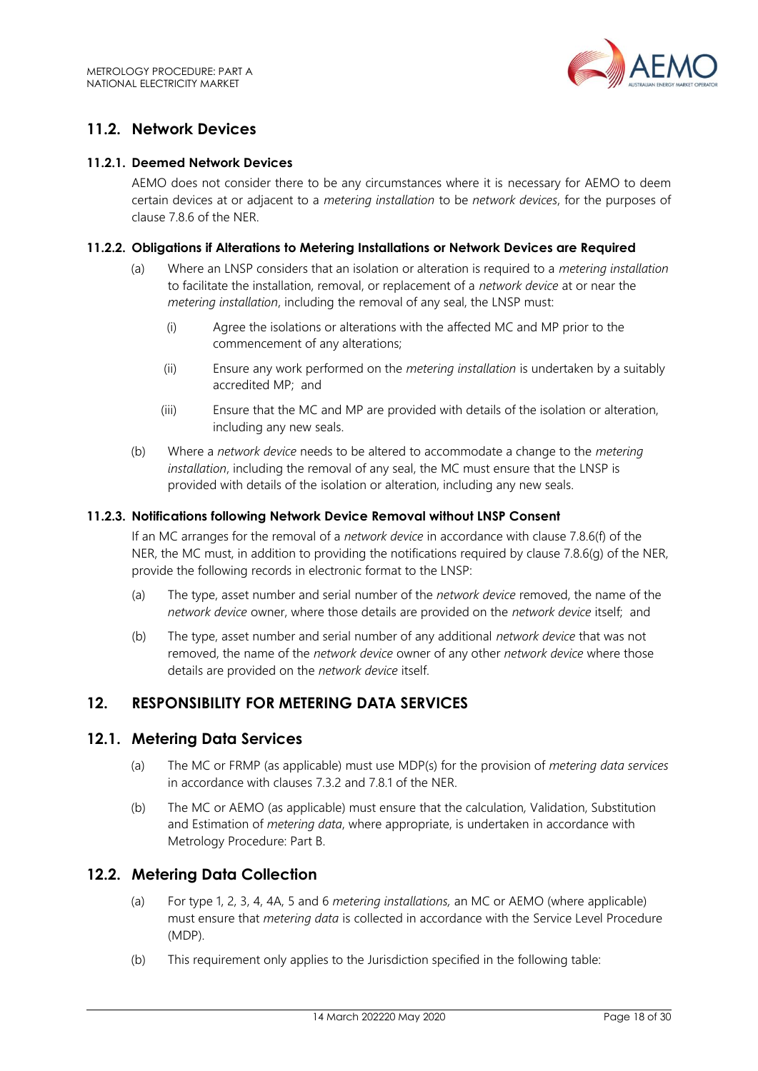

# <span id="page-17-0"></span>**11.2. Network Devices**

#### **11.2.1. Deemed Network Devices**

AEMO does not consider there to be any circumstances where it is necessary for AEMO to deem certain devices at or adjacent to a *metering installation* to be *network devices*, for the purposes of clause 7.8.6 of the NER.

#### **11.2.2. Obligations if Alterations to Metering Installations or Network Devices are Required**

- (a) Where an LNSP considers that an isolation or alteration is required to a *metering installation* to facilitate the installation, removal, or replacement of a *network device* at or near the *metering installation*, including the removal of any seal, the LNSP must:
	- (i) Agree the isolations or alterations with the affected MC and MP prior to the commencement of any alterations;
	- (ii) Ensure any work performed on the *metering installation* is undertaken by a suitably accredited MP; and
	- (iii) Ensure that the MC and MP are provided with details of the isolation or alteration, including any new seals.
- (b) Where a *network device* needs to be altered to accommodate a change to the *metering installation*, including the removal of any seal, the MC must ensure that the LNSP is provided with details of the isolation or alteration, including any new seals.

#### **11.2.3. Notifications following Network Device Removal without LNSP Consent**

If an MC arranges for the removal of a *network device* in accordance with clause 7.8.6(f) of the NER, the MC must, in addition to providing the notifications required by clause 7.8.6(g) of the NER. provide the following records in electronic format to the LNSP:

- (a) The type, asset number and serial number of the *network device* removed, the name of the *network device* owner, where those details are provided on the *network device* itself; and
- (b) The type, asset number and serial number of any additional *network device* that was not removed, the name of the *network device* owner of any other *network device* where those details are provided on the *network device* itself.

## <span id="page-17-1"></span>**12. RESPONSIBILITY FOR METERING DATA SERVICES**

#### <span id="page-17-2"></span>**12.1. Metering Data Services**

- (a) The MC or FRMP (as applicable) must use MDP(s) for the provision of *metering data services* in accordance with clauses 7.3.2 and 7.8.1 of the NER.
- (b) The MC or AEMO (as applicable) must ensure that the calculation*,* Validation, Substitution and Estimation of *metering data*, where appropriate, is undertaken in accordance with Metrology Procedure: Part B.

## <span id="page-17-3"></span>**12.2. Metering Data Collection**

- (a) For type 1, 2, 3, 4, 4A, 5 and 6 *metering installations,* an MC or AEMO (where applicable) must ensure that *metering data* is collected in accordance with the Service Level Procedure (MDP).
- (b) This requirement only applies to the Jurisdiction specified in the following table: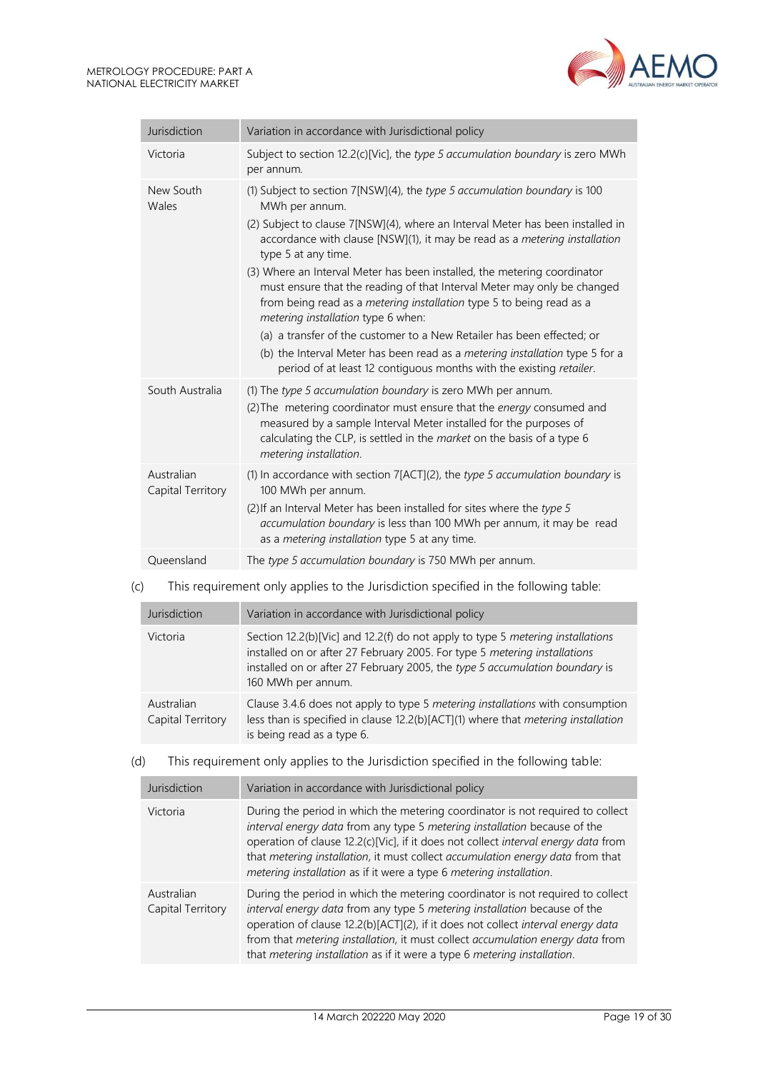

| Jurisdiction                    | Variation in accordance with Jurisdictional policy                                                                                                                                                                                                                                                                                                                                                                                                                                                                                                                                                                                                                                                                                                                                       |
|---------------------------------|------------------------------------------------------------------------------------------------------------------------------------------------------------------------------------------------------------------------------------------------------------------------------------------------------------------------------------------------------------------------------------------------------------------------------------------------------------------------------------------------------------------------------------------------------------------------------------------------------------------------------------------------------------------------------------------------------------------------------------------------------------------------------------------|
| Victoria                        | Subject to section 12.2(c)[Vic], the type 5 accumulation boundary is zero MWh<br>per annum.                                                                                                                                                                                                                                                                                                                                                                                                                                                                                                                                                                                                                                                                                              |
| New South<br>Wales              | (1) Subject to section 7[NSW](4), the type 5 accumulation boundary is 100<br>MWh per annum.<br>(2) Subject to clause 7[NSW](4), where an Interval Meter has been installed in<br>accordance with clause [NSW](1), it may be read as a metering installation<br>type 5 at any time.<br>(3) Where an Interval Meter has been installed, the metering coordinator<br>must ensure that the reading of that Interval Meter may only be changed<br>from being read as a metering installation type 5 to being read as a<br>metering installation type 6 when:<br>(a) a transfer of the customer to a New Retailer has been effected; or<br>(b) the Interval Meter has been read as a metering installation type 5 for a<br>period of at least 12 contiguous months with the existing retailer. |
| South Australia                 | (1) The type 5 accumulation boundary is zero MWh per annum.<br>(2) The metering coordinator must ensure that the energy consumed and<br>measured by a sample Interval Meter installed for the purposes of<br>calculating the CLP, is settled in the market on the basis of a type 6<br>metering installation.                                                                                                                                                                                                                                                                                                                                                                                                                                                                            |
| Australian<br>Capital Territory | (1) In accordance with section 7[ACT](2), the type 5 accumulation boundary is<br>100 MWh per annum.<br>(2) If an Interval Meter has been installed for sites where the type 5<br>accumulation boundary is less than 100 MWh per annum, it may be read<br>as a metering installation type 5 at any time.                                                                                                                                                                                                                                                                                                                                                                                                                                                                                  |
| Queensland                      | The type 5 accumulation boundary is 750 MWh per annum.                                                                                                                                                                                                                                                                                                                                                                                                                                                                                                                                                                                                                                                                                                                                   |

#### (c) This requirement only applies to the Jurisdiction specified in the following table:

| Jurisdiction                    | Variation in accordance with Jurisdictional policy                                                                                                                                                                                                               |  |
|---------------------------------|------------------------------------------------------------------------------------------------------------------------------------------------------------------------------------------------------------------------------------------------------------------|--|
| Victoria                        | Section 12.2(b)[Vic] and 12.2(f) do not apply to type 5 metering installations<br>installed on or after 27 February 2005. For type 5 metering installations<br>installed on or after 27 February 2005, the type 5 accumulation boundary is<br>160 MWh per annum. |  |
| Australian<br>Capital Territory | Clause 3.4.6 does not apply to type 5 metering installations with consumption<br>less than is specified in clause 12.2(b)[ACT](1) where that metering installation<br>is being read as a type 6.                                                                 |  |

#### (d) This requirement only applies to the Jurisdiction specified in the following table:

| Jurisdiction                    | Variation in accordance with Jurisdictional policy                                                                                                                                                                                                                                                                                                                                                            |  |
|---------------------------------|---------------------------------------------------------------------------------------------------------------------------------------------------------------------------------------------------------------------------------------------------------------------------------------------------------------------------------------------------------------------------------------------------------------|--|
| Victoria                        | During the period in which the metering coordinator is not required to collect<br>interval energy data from any type 5 metering installation because of the<br>operation of clause 12.2(c)[Vic], if it does not collect interval energy data from<br>that metering installation, it must collect accumulation energy data from that<br>metering installation as if it were a type 6 metering installation.    |  |
| Australian<br>Capital Territory | During the period in which the metering coordinator is not required to collect<br>interval energy data from any type 5 metering installation because of the<br>operation of clause 12.2(b)[ACT](2), if it does not collect interval energy data<br>from that metering installation, it must collect accumulation energy data from<br>that metering installation as if it were a type 6 metering installation. |  |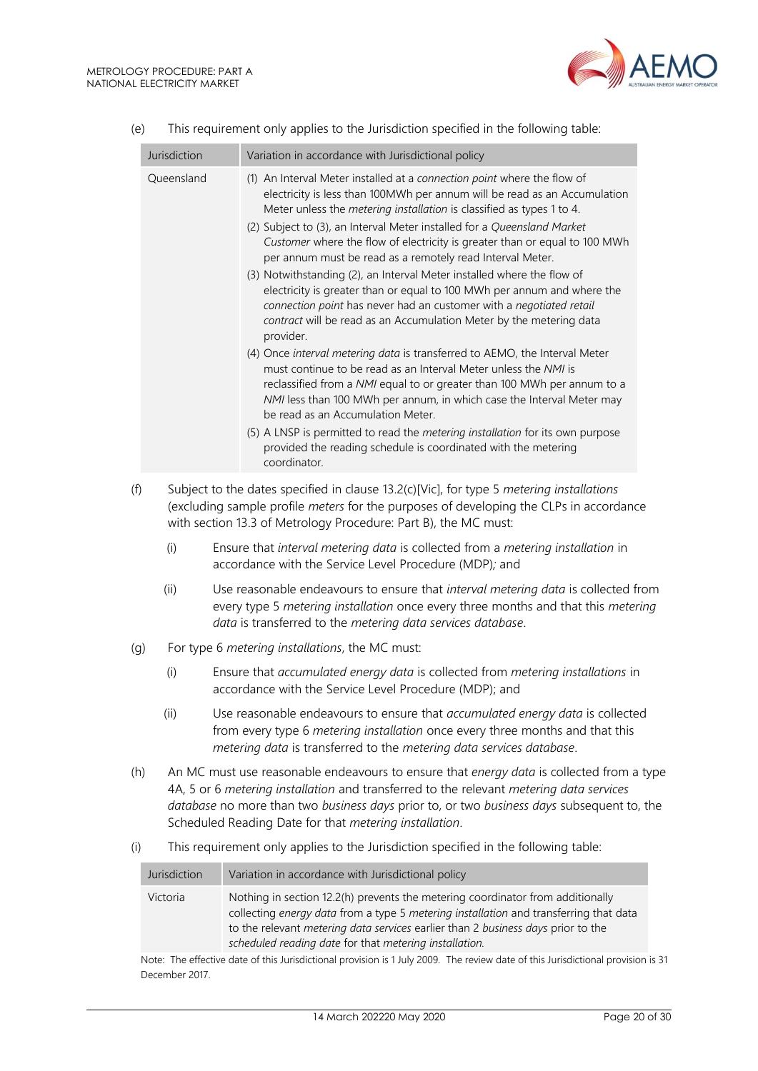

|     | Jurisdiction                                                                                                                                                                                                                                                                                                                               | Variation in accordance with Jurisdictional policy                                                                                                                                                                                                                                                                                                                                                                                                                                                                                                                                                                                                                                                                                                                                                                                                                                                                                                                                                                                                                                                                                                                                                                                                                               |
|-----|--------------------------------------------------------------------------------------------------------------------------------------------------------------------------------------------------------------------------------------------------------------------------------------------------------------------------------------------|----------------------------------------------------------------------------------------------------------------------------------------------------------------------------------------------------------------------------------------------------------------------------------------------------------------------------------------------------------------------------------------------------------------------------------------------------------------------------------------------------------------------------------------------------------------------------------------------------------------------------------------------------------------------------------------------------------------------------------------------------------------------------------------------------------------------------------------------------------------------------------------------------------------------------------------------------------------------------------------------------------------------------------------------------------------------------------------------------------------------------------------------------------------------------------------------------------------------------------------------------------------------------------|
|     | Queensland                                                                                                                                                                                                                                                                                                                                 | (1) An Interval Meter installed at a connection point where the flow of<br>electricity is less than 100MWh per annum will be read as an Accumulation<br>Meter unless the metering installation is classified as types 1 to 4.<br>(2) Subject to (3), an Interval Meter installed for a Queensland Market<br>Customer where the flow of electricity is greater than or equal to 100 MWh<br>per annum must be read as a remotely read Interval Meter.<br>(3) Notwithstanding (2), an Interval Meter installed where the flow of<br>electricity is greater than or equal to 100 MWh per annum and where the<br>connection point has never had an customer with a negotiated retail<br>contract will be read as an Accumulation Meter by the metering data<br>provider.<br>(4) Once interval metering data is transferred to AEMO, the Interval Meter<br>must continue to be read as an Interval Meter unless the NMI is<br>reclassified from a NMI equal to or greater than 100 MWh per annum to a<br>NMI less than 100 MWh per annum, in which case the Interval Meter may<br>be read as an Accumulation Meter.<br>(5) A LNSP is permitted to read the metering installation for its own purpose<br>provided the reading schedule is coordinated with the metering<br>coordinator. |
| (f) |                                                                                                                                                                                                                                                                                                                                            | Subject to the dates specified in clause 13.2(c)[Vic], for type 5 metering installations<br>(excluding sample profile meters for the purposes of developing the CLPs in accordance<br>with section 13.3 of Metrology Procedure: Part B), the MC must:                                                                                                                                                                                                                                                                                                                                                                                                                                                                                                                                                                                                                                                                                                                                                                                                                                                                                                                                                                                                                            |
|     | (i)                                                                                                                                                                                                                                                                                                                                        | Ensure that interval metering data is collected from a metering installation in<br>accordance with the Service Level Procedure (MDP); and                                                                                                                                                                                                                                                                                                                                                                                                                                                                                                                                                                                                                                                                                                                                                                                                                                                                                                                                                                                                                                                                                                                                        |
|     | (ii)                                                                                                                                                                                                                                                                                                                                       | Use reasonable endeavours to ensure that interval metering data is collected from<br>every type 5 metering installation once every three months and that this metering<br>data is transferred to the metering data services database.                                                                                                                                                                                                                                                                                                                                                                                                                                                                                                                                                                                                                                                                                                                                                                                                                                                                                                                                                                                                                                            |
| (g) |                                                                                                                                                                                                                                                                                                                                            | For type 6 metering installations, the MC must:                                                                                                                                                                                                                                                                                                                                                                                                                                                                                                                                                                                                                                                                                                                                                                                                                                                                                                                                                                                                                                                                                                                                                                                                                                  |
|     | (i)                                                                                                                                                                                                                                                                                                                                        | Ensure that accumulated energy data is collected from metering installations in<br>accordance with the Service Level Procedure (MDP); and                                                                                                                                                                                                                                                                                                                                                                                                                                                                                                                                                                                                                                                                                                                                                                                                                                                                                                                                                                                                                                                                                                                                        |
|     | (ii)                                                                                                                                                                                                                                                                                                                                       | Use reasonable endeavours to ensure that accumulated energy data is collected<br>from every type 6 metering installation once every three months and that this<br>metering data is transferred to the metering data services database.                                                                                                                                                                                                                                                                                                                                                                                                                                                                                                                                                                                                                                                                                                                                                                                                                                                                                                                                                                                                                                           |
| (h) | An MC must use reasonable endeavours to ensure that energy data is collected from a type<br>4A, 5 or 6 metering installation and transferred to the relevant metering data services<br>database no more than two business days prior to, or two business days subsequent to, the<br>Scheduled Reading Date for that metering installation. |                                                                                                                                                                                                                                                                                                                                                                                                                                                                                                                                                                                                                                                                                                                                                                                                                                                                                                                                                                                                                                                                                                                                                                                                                                                                                  |
| (i) | This requirement only applies to the Jurisdiction specified in the following table:                                                                                                                                                                                                                                                        |                                                                                                                                                                                                                                                                                                                                                                                                                                                                                                                                                                                                                                                                                                                                                                                                                                                                                                                                                                                                                                                                                                                                                                                                                                                                                  |

| (e) |  | This requirement only applies to the Jurisdiction specified in the following table: |
|-----|--|-------------------------------------------------------------------------------------|
|     |  |                                                                                     |

| Jurisdiction                                                                                                                  | Variation in accordance with Jurisdictional policy                                                                                                                                                                                                                                                                           |  |
|-------------------------------------------------------------------------------------------------------------------------------|------------------------------------------------------------------------------------------------------------------------------------------------------------------------------------------------------------------------------------------------------------------------------------------------------------------------------|--|
| Victoria                                                                                                                      | Nothing in section 12.2(h) prevents the metering coordinator from additionally<br>collecting energy data from a type 5 metering installation and transferring that data<br>to the relevant <i>metering data services</i> earlier than 2 business days prior to the<br>scheduled reading date for that metering installation. |  |
| Note: The effective date of this luriodictional provision is 1 luly 2000. The review date of this luriodictional provision is |                                                                                                                                                                                                                                                                                                                              |  |

Note: The effective date of this Jurisdictional provision is 1 July 2009. The review date of this Jurisdictional provision is 31 December 2017.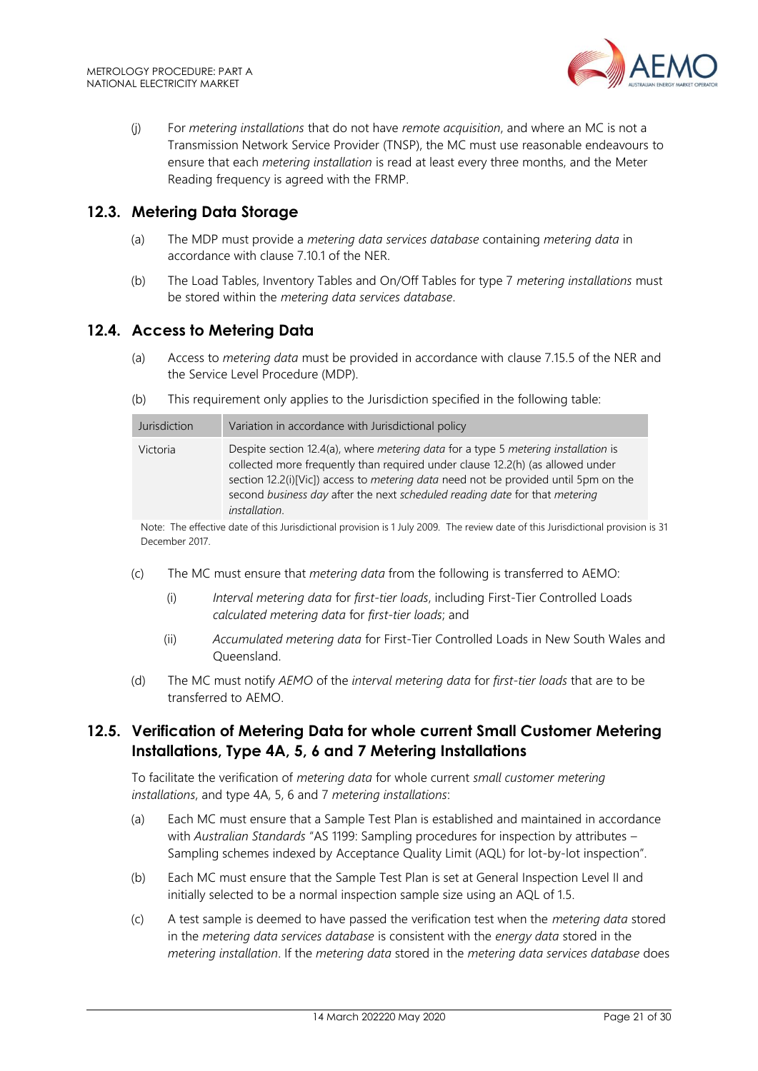

(j) For *metering installations* that do not have *remote acquisition*, and where an MC is not a Transmission Network Service Provider (TNSP), the MC must use reasonable endeavours to ensure that each *metering installation* is read at least every three months, and the Meter Reading frequency is agreed with the FRMP.

## <span id="page-20-0"></span>**12.3. Metering Data Storage**

- (a) The MDP must provide a *metering data services database* containing *metering data* in accordance with clause 7.10.1 of the NER.
- (b) The Load Tables, Inventory Tables and On/Off Tables for type 7 *metering installations* must be stored within the *metering data services database*.

## <span id="page-20-1"></span>**12.4. Access to Metering Data**

- (a) Access to *metering data* must be provided in accordance with clause 7.15.5 of the NER and the Service Level Procedure (MDP).
- (b) This requirement only applies to the Jurisdiction specified in the following table:

| Jurisdiction | Variation in accordance with Jurisdictional policy                                                                                                                                                                                                                                                                                                                               |
|--------------|----------------------------------------------------------------------------------------------------------------------------------------------------------------------------------------------------------------------------------------------------------------------------------------------------------------------------------------------------------------------------------|
| Victoria     | Despite section 12.4(a), where <i>metering data</i> for a type 5 <i>metering installation</i> is<br>collected more frequently than required under clause 12.2(h) (as allowed under<br>section 12.2(i)[Vic]) access to metering data need not be provided until 5pm on the<br>second business day after the next scheduled reading date for that metering<br><i>installation.</i> |

Note: The effective date of this Jurisdictional provision is 1 July 2009. The review date of this Jurisdictional provision is 31 December 2017.

- (c) The MC must ensure that *metering data* from the following is transferred to AEMO:
	- (i) *Interval metering data* for *first-tier loads*, including First-Tier Controlled Loads *calculated metering data* for *first-tier loads*; and
	- (ii) *Accumulated metering data* for First-Tier Controlled Loads in New South Wales and Queensland.
- (d) The MC must notify *AEMO* of the *interval metering data* for *first-tier loads* that are to be transferred to AEMO.

# <span id="page-20-2"></span>**12.5. Verification of Metering Data for whole current Small Customer Metering Installations, Type 4A, 5, 6 and 7 Metering Installations**

To facilitate the verification of *metering data* for whole current *small customer metering installations*, and type 4A, 5, 6 and 7 *metering installations*:

- (a) Each MC must ensure that a Sample Test Plan is established and maintained in accordance with *Australian Standards* "AS 1199: Sampling procedures for inspection by attributes – Sampling schemes indexed by Acceptance Quality Limit (AQL) for lot-by-lot inspection".
- (b) Each MC must ensure that the Sample Test Plan is set at General Inspection Level II and initially selected to be a normal inspection sample size using an AQL of 1.5.
- (c) A test sample is deemed to have passed the verification test when the *metering data* stored in the *metering data services database* is consistent with the *energy data* stored in the *metering installation*. If the *metering data* stored in the *metering data services database* does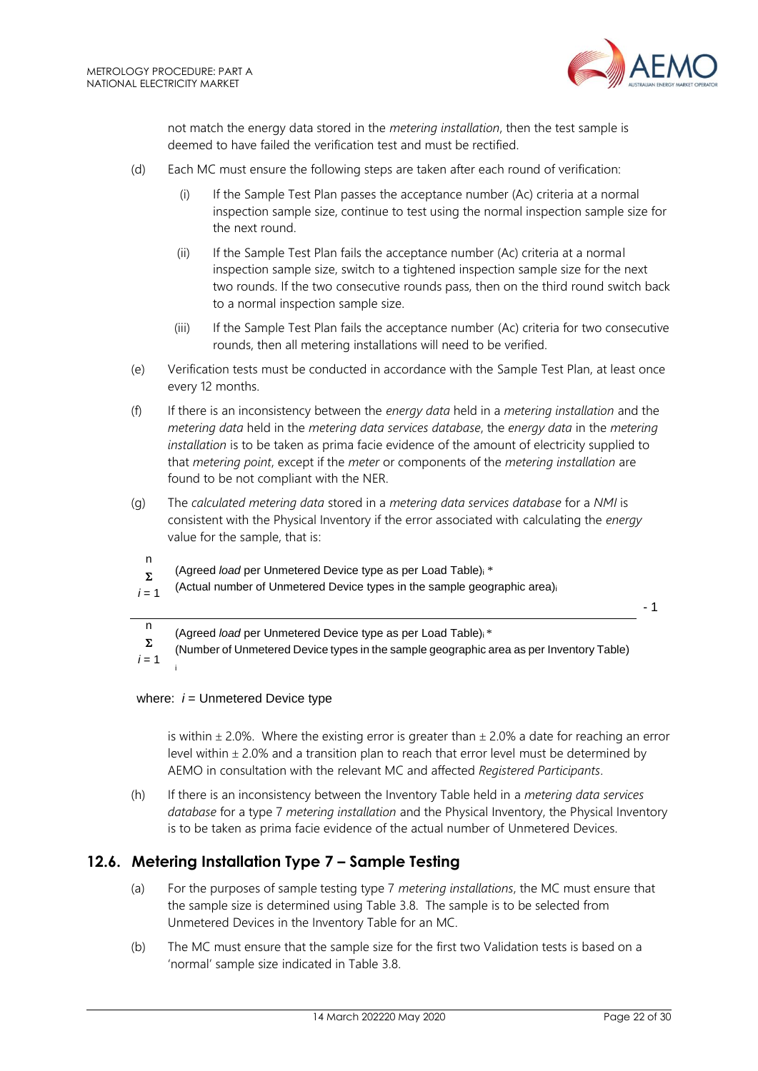

not match the energy data stored in the *metering installation*, then the test sample is deemed to have failed the verification test and must be rectified.

- (d) Each MC must ensure the following steps are taken after each round of verification:
	- (i) If the Sample Test Plan passes the acceptance number (Ac) criteria at a normal inspection sample size, continue to test using the normal inspection sample size for the next round.
	- (ii) If the Sample Test Plan fails the acceptance number (Ac) criteria at a normal inspection sample size, switch to a tightened inspection sample size for the next two rounds. If the two consecutive rounds pass, then on the third round switch back to a normal inspection sample size.
	- (iii) If the Sample Test Plan fails the acceptance number (Ac) criteria for two consecutive rounds, then all metering installations will need to be verified.
- (e) Verification tests must be conducted in accordance with the Sample Test Plan, at least once every 12 months.
- (f) If there is an inconsistency between the *energy data* held in a *metering installation* and the *metering data* held in the *metering data services database*, the *energy data* in the *metering installation* is to be taken as prima facie evidence of the amount of electricity supplied to that *metering point*, except if the *meter* or components of the *metering installation* are found to be not compliant with the NER.
- (g) The *calculated metering data* stored in a *metering data services database* for a *NMI* is consistent with the Physical Inventory if the error associated with calculating the *energy* value for the sample, that is:
	- n  $\Sigma$ (Agreed *load* per Unmetered Device type as per Load Table)<sup>i</sup> \*
- $i = 1$ (Actual number of Unmetered Device types in the sample geographic area)<sup>i</sup>

- 1

n (Agreed *load* per Unmetered Device type as per Load Table)i \*

 $\Sigma$ (Number of Unmetered Device types in the sample geographic area as per Inventory Table)

 $i = 1$ i

#### where:  $i =$  Unmetered Device type

is within  $\pm$  2.0%. Where the existing error is greater than  $\pm$  2.0% a date for reaching an error level within  $\pm$  2.0% and a transition plan to reach that error level must be determined by AEMO in consultation with the relevant MC and affected *Registered Participants*.

(h) If there is an inconsistency between the Inventory Table held in a *metering data services database* for a type 7 *metering installation* and the Physical Inventory, the Physical Inventory is to be taken as prima facie evidence of the actual number of Unmetered Devices.

# <span id="page-21-0"></span>**12.6. Metering Installation Type 7 – Sample Testing**

- (a) For the purposes of sample testing type 7 *metering installations*, the MC must ensure that the sample size is determined using Table 3.8. The sample is to be selected from Unmetered Devices in the Inventory Table for an MC.
- (b) The MC must ensure that the sample size for the first two Validation tests is based on a 'normal' sample size indicated in Table 3.8.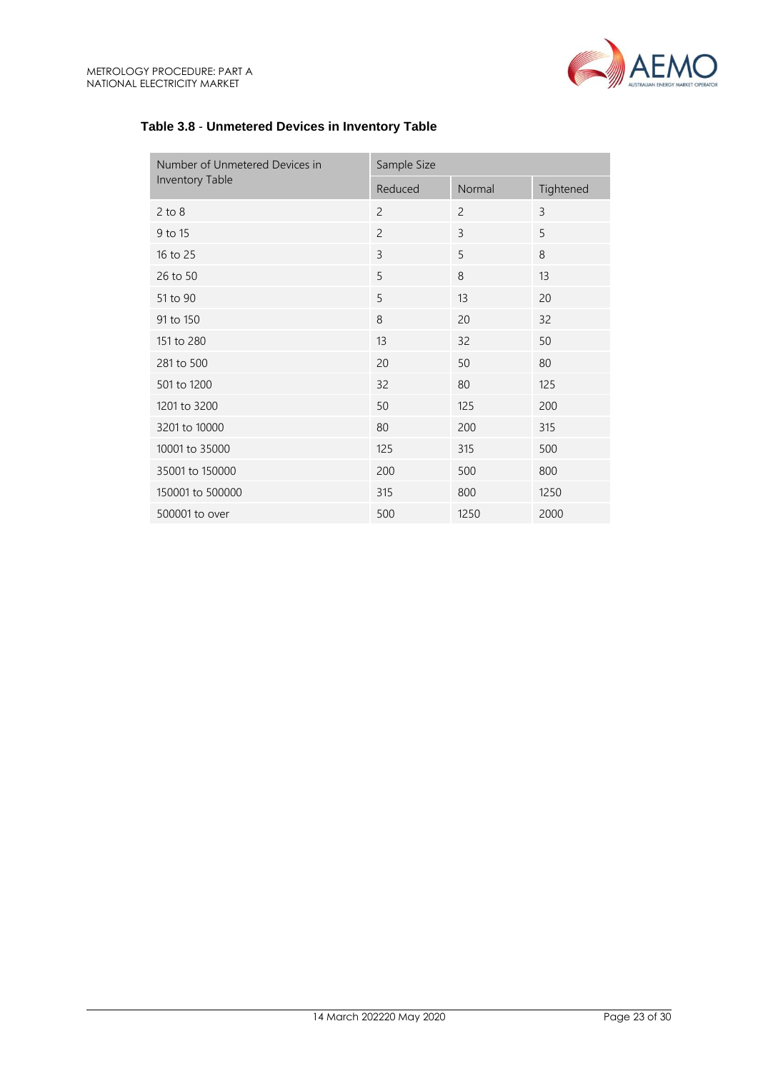

| Number of Unmetered Devices in<br>Inventory Table | Sample Size    |                |           |
|---------------------------------------------------|----------------|----------------|-----------|
|                                                   | Reduced        | Normal         | Tightened |
| $2$ to $8$                                        | $\overline{c}$ | $\overline{2}$ | 3         |
| 9 to 15                                           | $\overline{c}$ | 3              | 5         |
| 16 to 25                                          | 3              | 5              | 8         |
| 26 to 50                                          | 5              | 8              | 13        |
| 51 to 90                                          | 5              | 13             | 20        |
| 91 to 150                                         | 8              | 20             | 32        |
| 151 to 280                                        | 13             | 32             | 50        |
| 281 to 500                                        | 20             | 50             | 80        |
| 501 to 1200                                       | 32             | 80             | 125       |
| 1201 to 3200                                      | 50             | 125            | 200       |
| 3201 to 10000                                     | 80             | 200            | 315       |
| 10001 to 35000                                    | 125            | 315            | 500       |
| 35001 to 150000                                   | 200            | 500            | 800       |
| 150001 to 500000                                  | 315            | 800            | 1250      |
| 500001 to over                                    | 500            | 1250           | 2000      |

## **Table 3.8** - **Unmetered Devices in Inventory Table**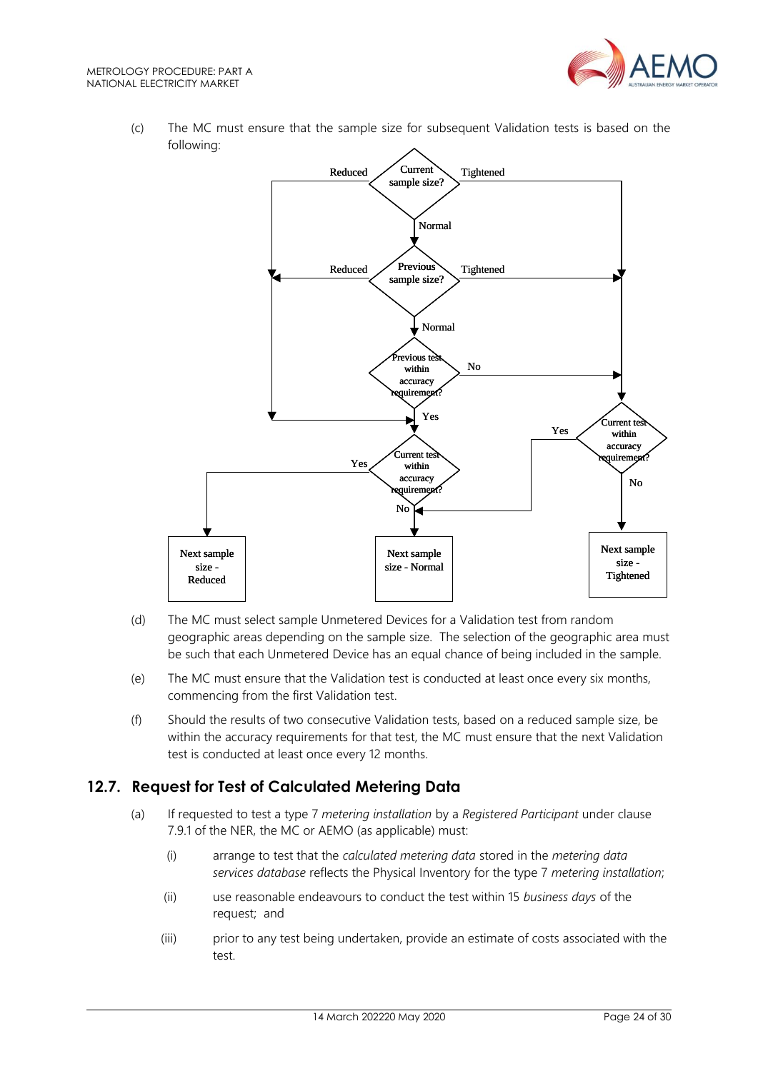

(c) The MC must ensure that the sample size for subsequent Validation tests is based on the following:



- (d) The MC must select sample Unmetered Devices for a Validation test from random geographic areas depending on the sample size. The selection of the geographic area must be such that each Unmetered Device has an equal chance of being included in the sample.
- (e) The MC must ensure that the Validation test is conducted at least once every six months, commencing from the first Validation test.
- (f) Should the results of two consecutive Validation tests, based on a reduced sample size, be within the accuracy requirements for that test, the MC must ensure that the next Validation test is conducted at least once every 12 months.

# <span id="page-23-0"></span>**12.7. Request for Test of Calculated Metering Data**

- (a) If requested to test a type 7 *metering installation* by a *Registered Participant* under clause 7.9.1 of the NER, the MC or AEMO (as applicable) must:
	- (i) arrange to test that the *calculated metering data* stored in the *metering data services database* reflects the Physical Inventory for the type 7 *metering installation*;
	- (ii) use reasonable endeavours to conduct the test within 15 *business days* of the request; and
	- (iii) prior to any test being undertaken, provide an estimate of costs associated with the test.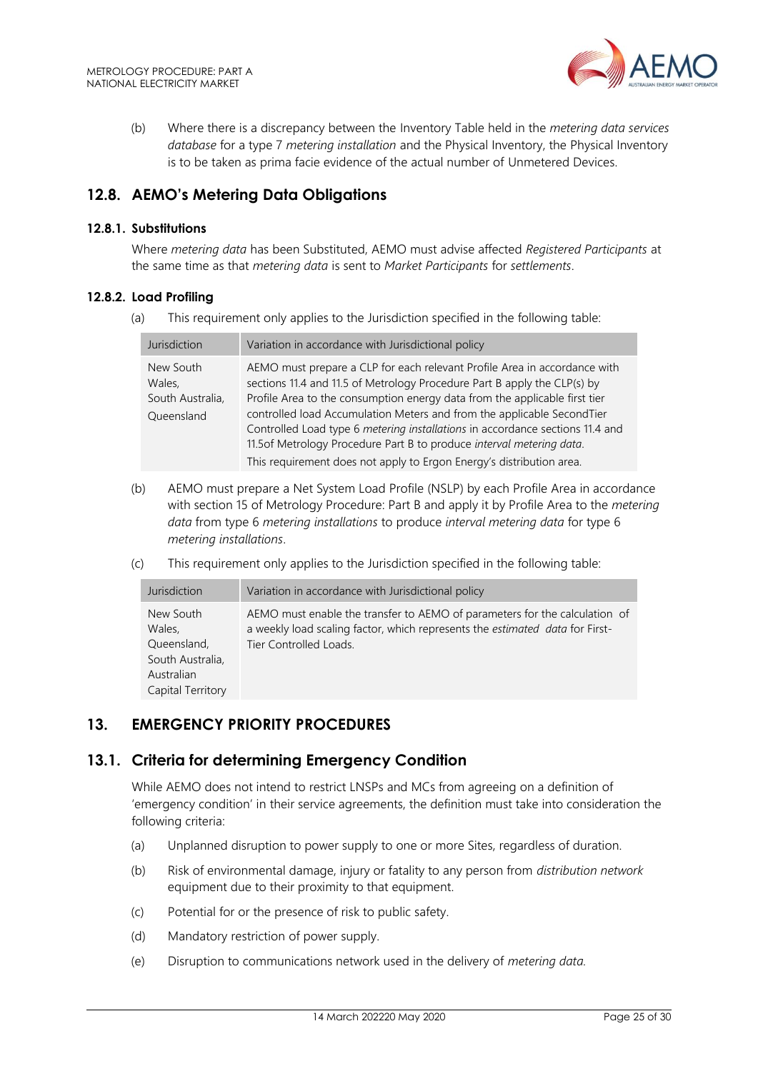

(b) Where there is a discrepancy between the Inventory Table held in the *metering data services database* for a type 7 *metering installation* and the Physical Inventory, the Physical Inventory is to be taken as prima facie evidence of the actual number of Unmetered Devices.

# <span id="page-24-0"></span>**12.8. AEMO's Metering Data Obligations**

#### **12.8.1. Substitutions**

Where *metering data* has been Substituted, AEMO must advise affected *Registered Participants* at the same time as that *metering data* is sent to *Market Participants* for *settlements*.

#### **12.8.2. Load Profiling**

(a) This requirement only applies to the Jurisdiction specified in the following table:

| Jurisdiction                                          | Variation in accordance with Jurisdictional policy                                                                                                                                                                                                                                                                                                                                                                                                                                                                                             |
|-------------------------------------------------------|------------------------------------------------------------------------------------------------------------------------------------------------------------------------------------------------------------------------------------------------------------------------------------------------------------------------------------------------------------------------------------------------------------------------------------------------------------------------------------------------------------------------------------------------|
| New South<br>Wales,<br>South Australia,<br>Queensland | AEMO must prepare a CLP for each relevant Profile Area in accordance with<br>sections 11.4 and 11.5 of Metrology Procedure Part B apply the CLP(s) by<br>Profile Area to the consumption energy data from the applicable first tier<br>controlled load Accumulation Meters and from the applicable SecondTier<br>Controlled Load type 6 metering installations in accordance sections 11.4 and<br>11.5of Metrology Procedure Part B to produce interval metering data.<br>This requirement does not apply to Ergon Energy's distribution area. |

- (b) AEMO must prepare a Net System Load Profile (NSLP) by each Profile Area in accordance with section 15 of Metrology Procedure: Part B and apply it by Profile Area to the *metering data* from type 6 *metering installations* to produce *interval metering data* for type 6 *metering installations*.
- (c) This requirement only applies to the Jurisdiction specified in the following table:

| Jurisdiction                                                                              | Variation in accordance with Jurisdictional policy                                                                                                                                   |
|-------------------------------------------------------------------------------------------|--------------------------------------------------------------------------------------------------------------------------------------------------------------------------------------|
| New South<br>Wales.<br>Queensland,<br>South Australia,<br>Australian<br>Capital Territory | AEMO must enable the transfer to AEMO of parameters for the calculation of<br>a weekly load scaling factor, which represents the estimated data for First-<br>Tier Controlled Loads. |

# <span id="page-24-1"></span>**13. EMERGENCY PRIORITY PROCEDURES**

## <span id="page-24-2"></span>**13.1. Criteria for determining Emergency Condition**

While AEMO does not intend to restrict LNSPs and MCs from agreeing on a definition of 'emergency condition' in their service agreements, the definition must take into consideration the following criteria:

- (a) Unplanned disruption to power supply to one or more Sites, regardless of duration.
- (b) Risk of environmental damage, injury or fatality to any person from *distribution network* equipment due to their proximity to that equipment.
- (c) Potential for or the presence of risk to public safety.
- (d) Mandatory restriction of power supply.
- (e) Disruption to communications network used in the delivery of *metering data.*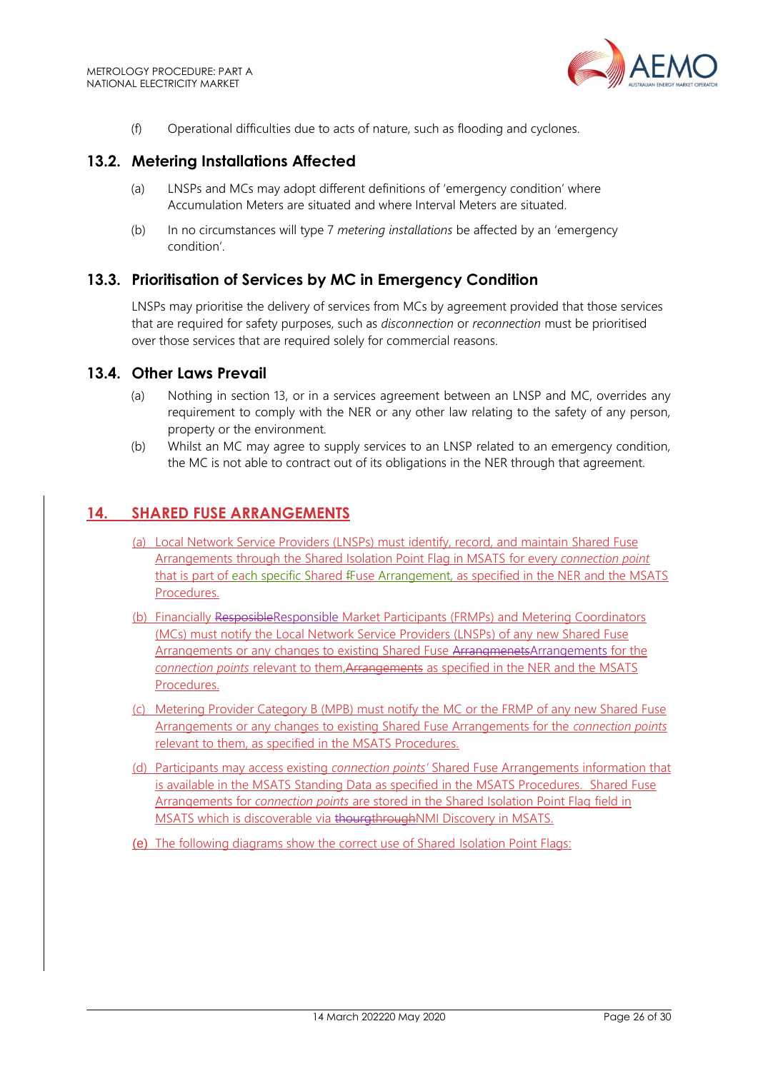

(f) Operational difficulties due to acts of nature, such as flooding and cyclones.

## <span id="page-25-0"></span>**13.2. Metering Installations Affected**

- (a) LNSPs and MCs may adopt different definitions of 'emergency condition' where Accumulation Meters are situated and where Interval Meters are situated.
- (b) In no circumstances will type 7 *metering installations* be affected by an 'emergency condition'.

## <span id="page-25-1"></span>**13.3. Prioritisation of Services by MC in Emergency Condition**

LNSPs may prioritise the delivery of services from MCs by agreement provided that those services that are required for safety purposes, such as *disconnection* or *reconnection* must be prioritised over those services that are required solely for commercial reasons.

#### <span id="page-25-2"></span>**13.4. Other Laws Prevail**

- (a) Nothing in section 13, or in a services agreement between an LNSP and MC, overrides any requirement to comply with the NER or any other law relating to the safety of any person, property or the environment.
- (b) Whilst an MC may agree to supply services to an LNSP related to an emergency condition, the MC is not able to contract out of its obligations in the NER through that agreement.

## <span id="page-25-3"></span>**14. SHARED FUSE ARRANGEMENTS**

- (a) Local Network Service Providers (LNSPs) must identify, record, and maintain Shared Fuse Arrangements through the Shared Isolation Point Flag in MSATS for every *connection point* that is part of each specific Shared fFuse Arrangement, as specified in the NER and the MSATS Procedures.
- (b) Financially ResposibleResponsible Market Participants (FRMPs) and Metering Coordinators (MCs) must notify the Local Network Service Providers (LNSPs) of any new Shared Fuse Arrangements or any changes to existing Shared Fuse ArrangmenetsArrangements for the *connection points* relevant to them,Arrangements as specified in the NER and the MSATS Procedures.
- (c) Metering Provider Category B (MPB) must notify the MC or the FRMP of any new Shared Fuse Arrangements or any changes to existing Shared Fuse Arrangements for the *connection points*  relevant to them, as specified in the MSATS Procedures.
- (d) Participants may access existing *connection points'* Shared Fuse Arrangements information that is available in the MSATS Standing Data as specified in the MSATS Procedures. Shared Fuse Arrangements for *connection points* are stored in the Shared Isolation Point Flag field in MSATS which is discoverable via thourgthroughNMI Discovery in MSATS.
- (e) The following diagrams show the correct use of Shared Isolation Point Flags: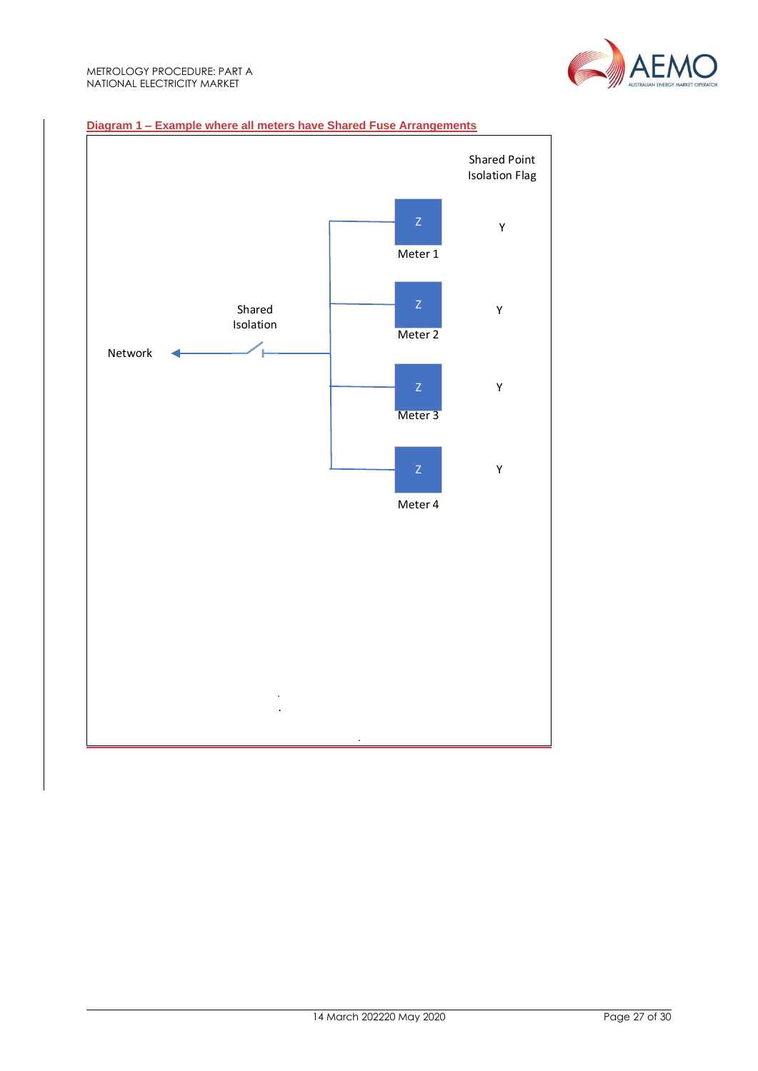

#### **Diagram 1 – Example where all meters have Shared Fuse Arrangements**

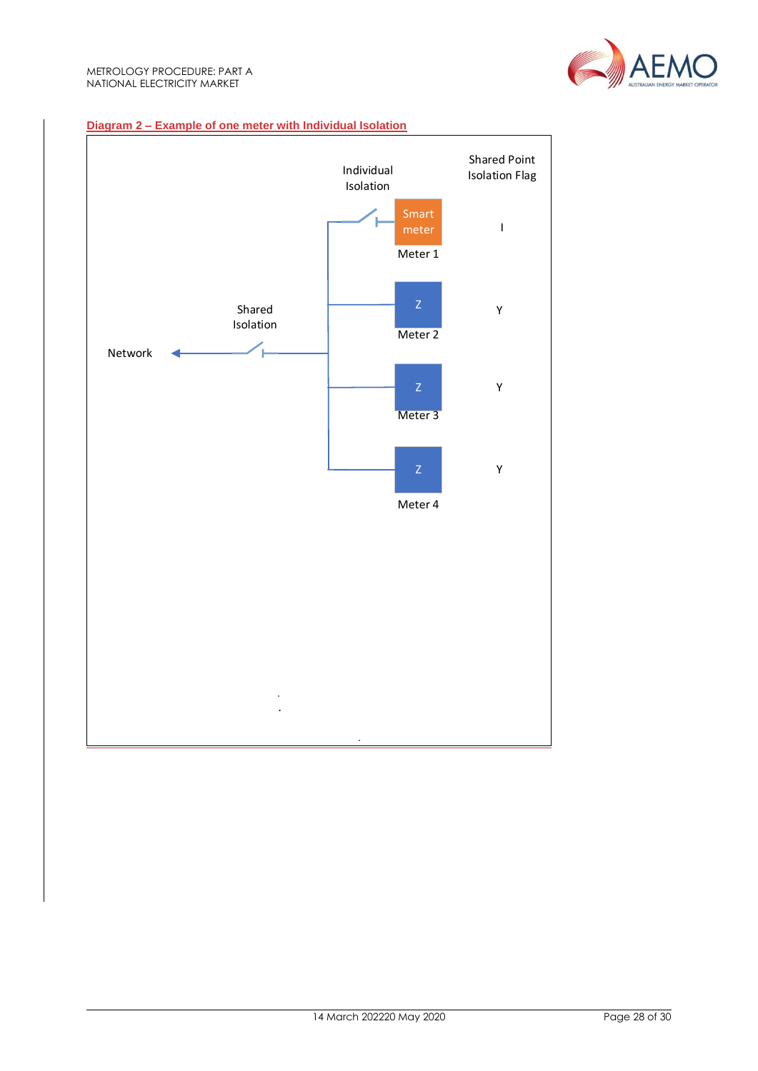

#### **Diagram 2 – Example of one meter with Individual Isolation**

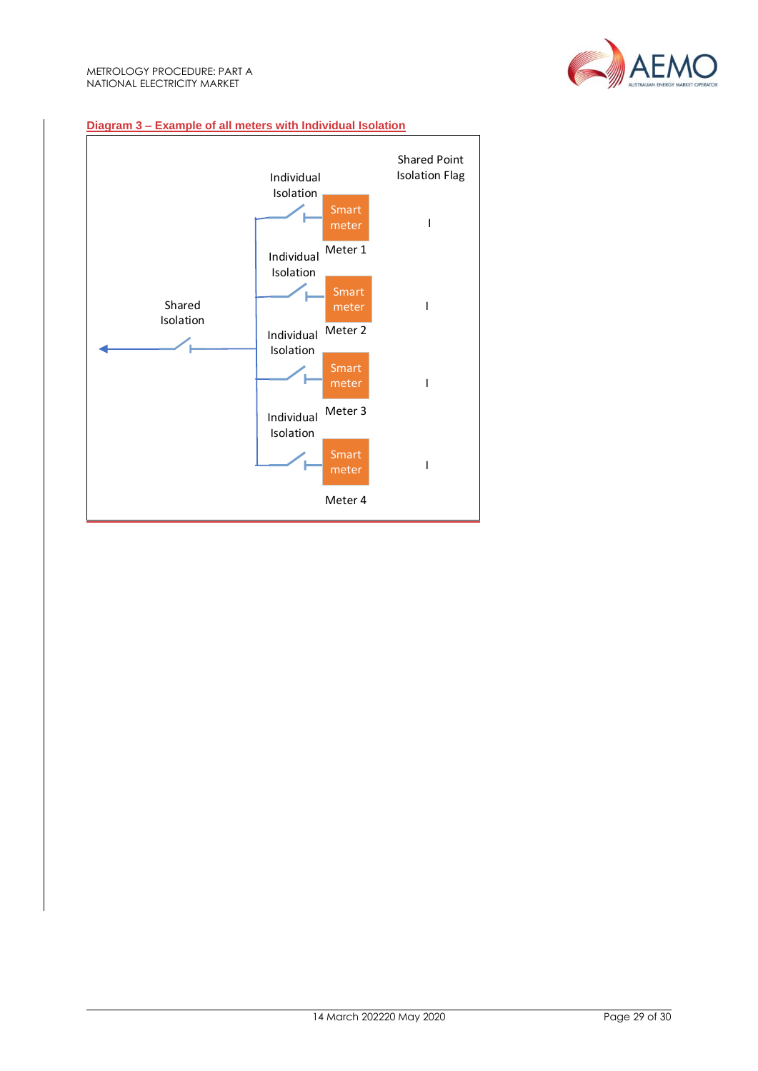

#### **Diagram 3 – Example of all meters with Individual Isolation**